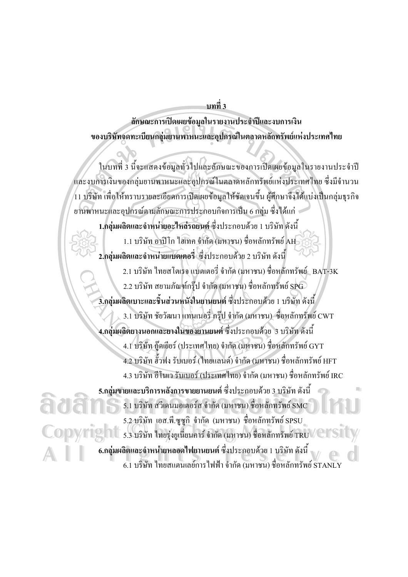ำเทที่ 3

ดักษณะการเปิดเผยข้อมูลในรายงานประจำปีและงบการเงิน ของบริษัทจดทะเบียนกลุ่มยานพาหนะและอุปกรณ์ในตลาดหลักทรัพย์แห่งประเทศไทย

ในบทที่ 3 นี้จะแสคงข้อมูลทั่วไปและลักษณะของการเปิดเผยข้อมูลในรายงานประจำปี และงบการเงินของกลุ่มยานพาหนะและอุปกรณ์ในตลาดหลักทรัพย์แห่งประเทศไทย ซึ่งมีจำนวน 11 บริษัท เพื่อให้ทราบรายละเอียดการเปิดเผยข้อมูลให้ชัดเจนขึ้น ผู้ศึกษาจึงได้แบ่งเป็นกลุ่มธุรกิจ ยานพาหนะและอุปกรณ์ตามลักษณะการประกอบกิจการเป็น 6 กลุ่ม ซึ่งได้แก่

1.กลุ่มผลิตและจำหน่ายอะไหล่รถยนต์ ซึ่งประกอบด้วย 1 บริษัท ดังนี้ 1.1 บริษัท อาปีโก ไฮเทค จำกัด (มหาชน) ชื่อหลักทรัพย์ AH 2.กลุ่มผลิตและจำหน่ายแบตเตอรี่ ซึ่งประกอบด้วย 2 บริษัท ดังนี้ 2.1 บริษัท ไทยสโตเรจ แบตเตอรี่ จำกัด (มหาชน) ชื่อหลักทรัพย์ BAT-3K 2.2 บริษัท สยามภัณฑ์กรุ๊ป จำกัด (มหาชน) ชื่อหลักทรัพย์ SPG 3.กลุ่มผลิตเบาะและชิ้นส่วนหนังในยานยนต์ ซึ่งประกอบด้วย 1 บริษัท ดังนี้ 3.1 บริษัท ชัยวัฒนา แทนเนอรี่ กรุ๊ป จำกัด (มหาชน) ซื่อหลักทรัพย์ CWT 4.กลุ่มผลิตยางนอกและยางในของยานยนต์ ซึ่งประกอบด้วย 3 บริษัท ดังนี้ 4.1 บริษัท ก็คเยียร์ (ประเทศไทย) จำกัด (มหาชน) ชื่อหลักทรัพย์ GYT 4.2 บริษัท ฮั้วฟง รับเบอร์ (ไทยแลนด์) จำกัด (มหาชน) ชื่อหลักทรัพย์ HFT 4.3 บริษัท อีโนเว รับเบอร์ (ประเทศไทย) จำกัด (มหาชน) ชื่อหลักทรัพย์ IRC 5.กลุ่มขายและบริการหลังการขายยานยนต์ ซึ่งประกอบด้วย 3 บริษัท ดังนี้  $5.1~\rm{u}$ ริษัท สวีเคนมอเตอร์ส จำกัด (มหาชน) ชื่อหลักทรัพย์ SMC $^{-}$ 5.2 บริษัท เอส.พี.ซูซูกิ จำกัด (มหาชน) ชื่อหลักทรัพย์ SPSU 5.3 บริษัท ใทยรุ่งยูเนี่ยนคาร์ จำกัด (มหาชน) ชื่อหลักทรัพย์ TRU 6.กลุ่มผลิตและจำหน่ายหลอดไฟยานยนต์ ซึ่งประกอบด้วย 1 บริษัท ดังนี้ 6.1 บริษัท ไทยสแตนเลย์การไฟฟ้า จำกัด (มหาชน) ชื่อหลักทรัพย์ STANLY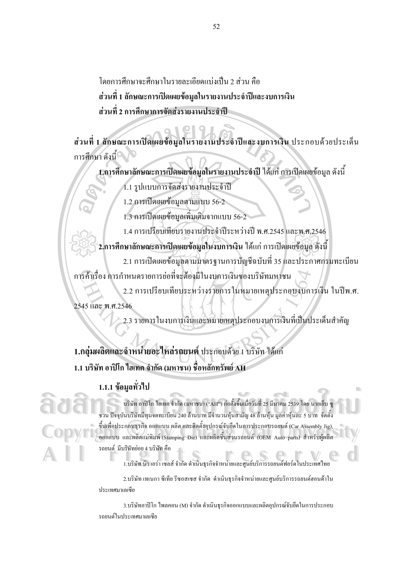โดยการศึกษาจะศึกษาในรายละเอียดแบ่งเป็น 2 ส่วน คือ ี ส่วนที่ 1 ลักษณะการเปิดเผยข้อมูลในรายงานประจำปีและงบการเงิน ส่วนที่ 2 การศึกษาการจัดส่งรายงานประจำปี

ส่วนที่ 1 ลักษณะการเปิดเผยข้อมูลในรายงานประจำปีและงบการเงิน ประกอบด้วยประเด็น การศึกษา ดังนี้

1.การศึกษาลักษณะการเปิดเผยข้อมูลในรายงานประจำปี ได้แก่ การเปิดเผยข้อมูล ดังนี้ 1.1 รูปแบบการจัดส่งรายงานประจำปี

1.2 การเปิดเผยข้อมูลตามแบบ 56-2

1.3 การเปิดเผยข้อมูลเพิ่มเติมจากแบบ 56-2

1.4 การเปรียบเทียบรายงานประจำปีระหว่างปี พ.ศ.2545 และพ.ศ.2546

ิ 2.การศึกษาลักษณะการเปิดเผยข้อมูลในงบการเงิน ได้แก่ การเปิดเผยข้อมูล ดังนี้

2.1 การเปิดเผยข้อมูลตามมาตรฐานการบัญชีฉบับที่ 35 และประกาศกรมทะเบียน การค้าเรื่อง การกำหนดรายการย่อที่จะต้องมีในงบการเงินของบริษัทมหาชน

2.2 การเปรียบเทียบระหว่างรายการในหมายเหตุประกอบงบการเงิน ในปีพ.ศ.

2545 และ พ.ศ.2546

2.3 รายการในงบการเงินและหมายเหตุประกอบงบการเงินที่เป็นประเด็นสำคัญ

1.กลุ่มผลิตและจำหน่ายอะไหล่รถยนต์ ประกอบด้วย 1 บริษัท ได้แก่ 1.1 บริษัท อาปิโก ไฮเทค จำกัด (มหาชน) ชื่อหลักทรัพย์ AH

## 1.1.1 ข้อมูลทั่วไป

บริษัท อาปิโก ไฮเทค จำกัด (มหาชน) ("AH") ก่อตั้งขึ้นเมื่อวันที่ 25 มีนาคม 2539 โดย นายเย็บ • ชวน ปัจจุบันบริษัทมีทุนจดทะเบียน 240 ล้านบาท มีจำนวนหุ้นสามัญ 48 ล้านหุ้น มูลค่าหุ้นละ 5 บาท จัดตั้ง ขึ้นเพื่อประกอบธุรกิจ ออกแบบ ผลิต และติดตั้งอุปกรณ์จับยึดในการประกอบรถยนต์ (Car Assembly Jig). ี ออกแบบ และผลิตแม่พิมพ์ (Stamping Die) และผลิตชิ้นส่วนรถยนต์ (OEM Auto parts) สำหรับผู้ผลิต รถยนต์ มีบริษัทย่อย 4 บริษัท คือ

1.บริษัท นิว เอร่า เซลส์ จำกัด ดำเนินธุรกิจจำหน่ายและศูนย์บริการรถยนต์ฟอร์ดในประเทศไทย

2.บริษัท เทเนกา ซีเทีย รีซอสเซส จำกัด ดำเนินธรกิจจำหน่ายและศนย์บริการรถยนต์ฮอนด้าใน ประเทศมาเลเซีย

3.บริษัทอาปีโก ไพลคอน (M) จำกัด ดำเนินธุรกิจออกแบบและผลิตอุปกรณ์จับยึดในการประกอบ รถยนต์ในประเทศมาเลเซีย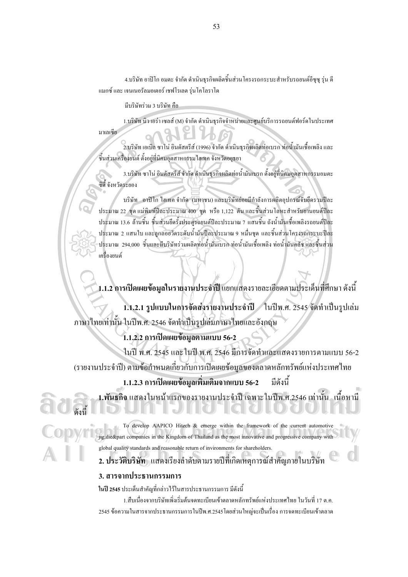4.บริษัท อาปิโก อมตะ จำกัด ดำเนินธรกิจผลิตชิ้นส่วนโครงรถกระบะสำหรับรถยนต์อีซซ ร่น ดี ี แมกซ์ และ เจนเนอรัลมอเตอร์ เชฟโรเลต รุ่นโคโลราโค

มีบริษัทร่วม 3 บริษัท คือ

มาเลเซีย

1.บริษัท นิว เอร่า เซลส์ (M) จำกัด ดำเนินธุรกิจจำหน่ายและศูนย์บริการรถยนต์ฟอร์ดในประเทศ

2.บริษัท เอเบิล ซาโน่ อินคัสตรีส์ (1996) จำกัด ดำเนินธรกิจผลิตท่อเบรก ท่อน้ำมันเชื้อเพลิง และ ซิ้นส่วนเครื่องยนต์ ตั้งอยู่ที่นิคมอุตสาหกรรมใฮเทค จังหวัดอยุธยา

3.บริษัท ซาโน่ อินดัสตรีส์ จำกัด ดำเนินธุรกิจผลิตท่อน้ำมันเบรก ตั้งอยู่ที่นิคมอุตสาหกรรมอมตะ ซิตี้ จังหวัดระยอง

บริษัท อาปิโก ไฮเทค จำกัด (มหาชน) และบริษัทย่อยมีกำลังการผลิตอุปกรณ์จับยึดรวมปีละ ประมาณ 22 ชุด แม่พิมพ์ปีละประมาณ 400 ชุด หรือ 1,122 ตัน และชิ้นส่วนโลหะสำหรับยานยนต์ปีละ ประมาณ 13.6 ล้านชิ้น ชิ้นส่วนยึดรั้งประตูรถยนต์ปีละประมาณ 7 แสนชิ้น ถังน้ำมันเชื้อเพลิงรถยนต์ปีละ ประมาณ 2 แสนใบ และลูกลอยวัดระคับน้ำมันปีละประมาณ 9 หมื่นชุด และชิ้นส่วนโครงรถกระบะปีละ ประมาณ 294,000 ชิ้นและมีบริษัทร่วมผลิตท่อน้ำมันเบรก ท่อน้ำมันเชื้อเพลิง ท่อน้ำมันคลัช และชิ้นส่วน เครื่องยนต์

1.1.2 การเปิดเผยข้อมูลในรายงานประจำปี แยกแสดงรายละเอียดตามประเด็นที่ศึกษา ดังนี้

1.1.2.1 รูปแบบในการจัดส่งรายงานประจำปี 1นปีพ.ศ. 2545 จัดทำเป็นรูปเล่ม ภาษาไทยเท่านั้น ในปีพ.ศ. 2546 จัดทำเป็นรูปเล่มภาษาไทยและอังกฤษ

1.1.2.2 การเปิดเผยข้อมูลตามแบบ 56-2

ในปี พ.ศ. 2545 และในปี พ.ศ. 2546 มีการจัดทำและแสคงรายการตามแบบ 56-2 (รายงานประจำปี) ตามข้อกำหนดเกี่ยวกับการเปิดเผยข้อมูลของตลาดหลักทรัพย์แห่งประเทศไทย

> 1.1.2.3 การเปิดเผยข้อมูลเพิ่มเติมจากแบบ 56-2 มีดังนี้

1.พันธกิจ แสดงในหน้าแรกของรายงานประจำปี เฉพาะในปีพ.ศ.2546 เท่านั้น เนื้อหามี

To develop AAPICO Hitech & emerge within the framework of the current automotive jig, die&part companies in the Kingdom of Thailand as the most innovative and progressive company with global quality standards and reasonable return of invironments for shareholders.

2. ประวัติบริษัท แสคงเรียงลำดับตามรายปีที่เกิดเหตุการณ์สำคัญภายในบริษัท

#### 3. สารจากประธานกรรมการ

ในปี 2545 ประเด็นสำคัญที่กล่าวไว้ในสารประธานกรรมการ มีดังนี้

1.สืบเนื่องจากบริษัทเพิ่งเริ่มต้นจดทะเบียนเข้าตลาดหลักทรัพย์แห่งประเทศไทย ในวันที่ 17 ต.ค. ่ 2545 ข้อความในสารจากประธานกรรมการในปีพ.ศ.2545 โดยส่วนใหญ่จะเป็นเรื่อง การจดทะเบียนเข้าตลาด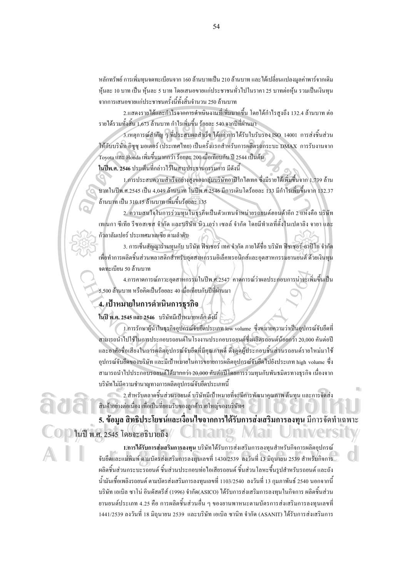หลักทรัพย์ การเพิ่มทนจดทะเบียนจาก 160 ล้านบาทเป็น 210 ล้านบาท และได้เปลี่ยนแปลงมลค่าพาร์จากเดิม หุ้นละ 10 บาท เป็น หุ้นละ 5 บาท โดยเสนองายแก่ประชาชนทั่วไปในราคา 25 บาทต่อหุ้น รวมเป็นเงินทุน ิจากการเสนอขายแก่ประชาชนครั้งนี้ทั้งสิ้นจำนวน 250 ล้านบาท

2.แสดงรายใด้และกำไรจากการดำเนินงานที่เพิ่มมากขึ้น โดยใด้กำไรสงถึง 132.4 ล้านบาท ต่อ รายใด้รวมทั้งสิ้น 1,673 ล้านบาท กำไรเพิ่มขึ้น ร้อยละ 540 จากปีที่ผ่านมา

3.เหตุการณ์สำคัญ ๆ ที่ประสบผลสำเร็จ ได้แก่ การได้รับใบรับรอง ISO 14001 การส่งชิ้นส่วน ให้กับบริษัท อิซูซุ มอเตอร์ (ประเทศไทย) เป็นครั้งแรกสำหรับการผลิตรถกระบะ DMAX การรับงานจาก Toyota และ Honda เพิ่มขึ้นมากกว่า ร้อยละ 200 เมื่อเทียบกับ ปี 2544 เป็นต้น

ในปีพ.ศ. 2546 ประเด็นที่กล่าวไว้ในสารประธานกรรมการ มีดังนี้

1.การประสบความสำเร็จอย่างสงของกล่มบริษัทอาปิโกไฮเทค ซึ่งมีรายได้เพิ่มขึ้นจาก 1.739 ล้าน บาทในปีพ.ศ.2545 เป็น 4,049 ล้านบาท ในปีพ.ศ.2546 มีการเคิบโคร้อยละ 133 มีกำไรเพิ่มขึ้นจาก 132.37 ด้านบาท เป็น 310.15 ด้านบาท เพิ่มขึ้นร้อยละ 135

2. ความสนใจในการร่วมทุนในธุรกิจเป็นตัวแทนจำหน่ายรถยนต์ฮอนด้าอีก 2 แห่งคือ บริษัท ้ เทเนกา ซีเทีย รีซอสเซส จำกัด และบริษัท นิว เอร่า เซลล์ จำกัด โดยมีทำเลที่ตั้งในเปตาลิง จายา และ ก้วลาลัมเปอร์ ประเทศมาเลเซีย ตามลำดับ

3. การเซ็นสัญญาร่วมทุนกับ บริษัท ฟิชเชอร์ เทค จำกัด ภายใต้ชื่อ บริษัท ฟิชเชอร์-อาปิโก จำกัด เพื่อทำการผลิตชิ้นส่วนพลาสติกสำหรับอุตสาหกรรมอิเล็กทรอนิกส์และอุตสาหกรรมยานยนต์ ด้วยเงินทุน จดทะเบียน 50 ถ้านบาท

4.การคาดการณ์ภาวะอุตสาหกรรมในปีพ.ศ.2547 คาดการณ์ว่าผลประกอบการน่าจะเพิ่มขึ้นเป็น 5.500 ถ้านบาท หรือคิดเป็นร้อยละ 40 เมื่อเทียบกับปีที่ผ่านมา

#### 4. เป้าหมายในการดำเนินการธรกิจ

ในปี พ.ศ. 2545 และ 2546 บริษัทมีเป้าหมายหลัก ดังนี้

1.การรักษาผู้นำในธุรกิจอุปกรณ์จับฮึดประเภท Iow volume ซึ่งหมายความว่าเป็นอุปกรณ์จับฮึดที่ สามารถนำไปใช้ในการประกอบรถยนต์ในโรงงานประกอบรถยนต์ซึ่งผลิตรถยนต์น้อยกว่า 20,000 คันต่อปี และอาศัยชื่อเสียงในการผลิตอุปกรณ์จับยึดที่มีคุณภาพดี ดึงดูดผู้ประกอบชิ้นส่วนรถยนต์รายใหม่มาใช้ อุปกรณ์จับฮึดของบริษัท และมีเป้าหมายในการขยายการผลิตอุปกรณ์จับฮึดไปยังประเภท high volume ซึ่ง สามารถนำไปประกอบรถยนต์ได้มากกว่า 20,000 คันต่อปีโดยการร่วมทนกับพันธมิตรทางธรกิจ เนื่องจาก <u>ิบริษัทไม่มีความชำนาณทางการผลิตอปกรณ์จับยึดประเภทนี้</u>

่ 2.สำหรับตลาดชิ้นส่วนรถยนต์ บริษัทมีเป้าหมายที่จะมีการพัฒนาคุณภาพ ด้นทุน และการจัดส่ง สินค้าอย่างต่อเนื่อง เพื่อเป็นที่ยอมรับของลกค้ารายใหญ่ของบริษัทฯ

5. ข้อมูล สิทธิประโยชน์และเงื่อนไขจากการได้รับการส่งเสริมการลงทุน มีการจัดทำเฉพาะ ในปี พ.ศ. 2545 โดยจะอธิบายถึง

1.การได้รับการส่งเสริมการลงทน บริษัทได้รับการส่งเสริมการลงทนสำหรับกิจการผลิตอปกรณ์ จับยึดและแม่พิมพ์ ตามบัตรส่งเสริมการลงทนเลขที่ 1430/2539 ลงวันที่ 13 มิถนายน 2539 สำหรับกิจการ ผลิตชิ้นส่วนกระบะรถยนต์ ชิ้นส่วนประกอบท่อไอเสียรถยนต์ ชิ้นส่วนโลหะขึ้นรปสำหรับรถยนต์ และถัง ี น้ำมันเชื้อเพลิงรถยนต์ ตามบัตรส่งเสริมการลงทนเลขที่ 1103/2540 ลงวันที่ 13 กมภาพันธ์ 2540 นอกจากนี้ ู บริษัท เอเบิล ซาโน่ อินดัสตรีส์ (1996) จำกัด(ASICO) ได้รับการส่งเสริมการลงทนในกิจการ ผลิตชิ้นส่วน ียานยนต์ประเภท 4.25 คือ การผลิตชิ้นส่วนอื่น ๆ ของยานพาหนะตามบัตรการส่งเสริมการลงทนเลขที่ 1441/2539 ลงวันที่ 18 มิถนายน 2539 และบริษัท เอเบิล ซานิท จำกัด (ASANIT) ได้รับการส่งเสริมการ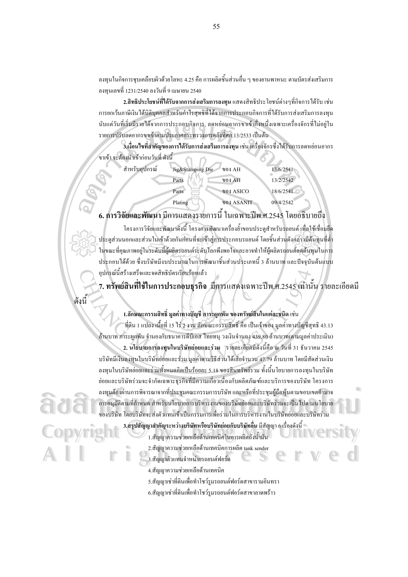ลงทนในกิจการชบเคลื่อบผิวด้วยโลหะ 4.25 คือ การผลิตชิ้นส่วนอื่น ๆ ของยานพาหนะ ตามบัตรส่งเสริมการ ิลงทนเลขที่ 1231/2540 ลงวันที่ 9 เมษายน 2540

2.สิทธิประโยชน์ที่ได้รับจากการส่งเสริมการลงทุน แสดงสิทธิประ โยชน์ต่างๆที่กิจการ ได้รับ เช่น การยกเว้นภาษีเงิน ได้นิติบลลลสำหรับกำไรสทธิที่ได้จากการประกอบกิจการที่ได้รับการส่งเสริมการลงทน นับแต่วันที่เริ่มมีรายได้จากการประกอบกิจการ, ลดหย่อนอากรขาเข้ากึ่งหนึ่งเฉพาะเครื่องจักรที่ไม่อย่ใน รายการปรับลดอากรขาเข้าตามประกาศกระทรวงการคลังที่ศก.13/2533 เป็นต้น

3.เงื่อนไขที่สำคัญของการได้รับการส่งเสริมการลงทุน เช่น เครื่องจักรซึ่ง ได้รับการลดหย่อนอากร ขาเข้า จะต้องนำเข้าก่อนวันที่ ดังนี้

| สำหรับอปกรณ์ | Jig&Stamping Die | VOJ AH            | 13/6/2541 |
|--------------|------------------|-------------------|-----------|
|              | Parts            | VOJ AH            | 13/2/2542 |
|              | Parts            | ของ ASICO         | 18/6/2541 |
|              | Plating          | <b>VOJ ASANIT</b> | 09/4/2542 |

6. การวิจัยและพัฒนา มีการแสดงรายการนี้ ในเฉพาะปีพ.ศ.2545 โดยอธิบายถึง

โครงการวิจัยและพัฒนาดังนี้ โครงการพัฒนาเครื่องย้ำขอบประตูสำหรับรถยนต์ เพื่อใช้เชื่อมยึด ประตส่วนนอกและส่วนในเข้าด้วยกันก่อนที่จะเข้าส่การประกอบรถยนต์ โดยชิ้นส่วนดังกล่าวมีต้นทนที่ต่ำ ในขณะที่คุณภาพอยู่ในระดับที่ผู้ผลิตรถยนต์ระดับโลกพึงพอใจและอาจทำให้ผู้ผลิตรถยนต์ลดดื่นทุนในการ ประกอบได้ด้วย ซึ่งบริษัทมึงบประมาณในการพัฒนาชิ้นส่วนประเภทนี้ 3 ล้านบาท และปัจจบันค้นแบบ อุปกรณ์นี้สร้างเสร็จและจดสิทธิบัตรเรียบร้อยแล้ว

7. ทรัพย์สินที่ใช้ในการประกอบธุรกิจ มีการแสดงเฉพาะปีพ.ศ.2545 เท่านั้น รายละเอียดมี

## 1.ลักษณะกรรมสิทธิ์ มูลค่าทางบัญชี ภาระผูกพัน ของทรัพย์สินในแต่ละชนิด เช่น

ดังนี้

ที่ดิน 1 แปลง เนื้อที่ 15 ไร่ 2 งาน ลักษณะกรรมสิทธิ์ คือ เป็นเจ้าของ มูลค่าทางบัญชีสุทธิ 43.13 ด้านบาท ภาระผกพัน จำนองกับธนาคารดีบีเอส ไทยทน วงเงินจำนอง 439.80 ด้านบาท(ตามมลค่าประเมิน) 2. นโยบายการลงทุนในบริษัทย่อยและร่วม รายละเอียดมีดังนี้คือ ณ วันที่ 31 ธันวาคม 2545 บริษัทมีเงินลงทนในบริษัทย่อยและร่วม มลค่าตามวิธีส่วนใด้เสียจำนวน 47.79 ล้านบาท โดยมีสัดส่วนเงิน ิลงทุนในบริษัทย่อยและร่วมทั้งหมดกิดเป็นร้อยละ 5.18 ของสินทรัพย์รวม ทั้งนี้นโยบายการลงทุนในบริษัท ย่อยและบริษัทร่วมจะจำกัดเฉพาะธรกิจที่มีความเกี่ยวเนื่องกับผลิตภัณฑ์และบริการของบริษัท โครงการ ิลงทนต้องผ่านการพิจารณาจากที่ประชมคณะกรรมการบริษัท และหรือที่ประชมผู้ถือห้นตามขอบเขตอำนาจ การอนุมัติตามที่กำหนด สำหรับนโยบายการบริหารงานของบริษัทย่อยและบริษัทร่วมจะเป็นไปตามนโยบาย ของบริษัท โดยบริษัทจะส่งตัวแทนเข้าเป็นกรรมการเพื่อร่วมในการบริหารงานในบริษัทย่อยและบริษัทร่วม 3.สรุปสัญญาสำคัญระหว่างบริษัทหรือบริษัทย่อยกับบริษัทอื่น มีสัญญา 6 เรื่องดังนี้  $^{\circ}$ 

1.สัญญาความช่วยเหลือด้านเทคนิคในการผลิตถังน้ำมัน

2.สัญญาความช่วยเหลือด้านเทคนิคการผลิต tank sender

- 3.สัญญาตัวแทนจำหน่ายรถยนต์ฟอร์ด
- ้4.สัญญาความช่วยเหลือด้านเทคนิค
- 5.สัญญาเช่าที่ดินเพื่อทำโชว์รูมรถยนต์ฟอร์คสาขารามอินทรา
- 6.สัญญาเช่าที่ดินเพื่อทำโชว์รูมรถยนต์ฟอร์ดสาขาลาดพร้าว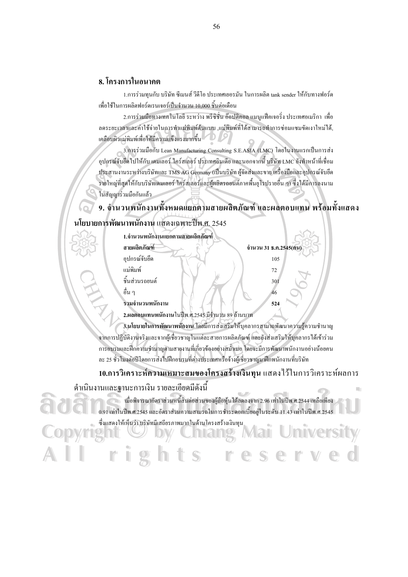#### 8 โครงการในอนาคต

1.การร่วมทนกับ บริษัท ซีเมนส์ วีดีโอ ประเทศเยอรมัน ในการผลิต tank sender ให้กับทางฟอร์ด ้เพื่อใช้ในการผลิตฟอร์ดเรนเจอร์เป็นจำนวน 10,000 ชิ้นต่อเดือน

2.การร่วมมือทางเทคโนโลยี ระหว่าง พรีซิชั่น อ๊อปติคอล แมนูแฟ็คเจอริ่ง ประเทศอเมริกา เพื่อ ลคระยะเวลาและค่าใช้จ่ายในการทำแม่พิมพ์ต้นแบบ .แม่พิมพ์ที่ได้สามารถทำการซ่อมแซมขัดเงาใหม่ได้. เคลื่อบผิวแม่พิมพ์เพื่อให้มีความแข็งแรงมากขึ้น

3.การร่วมมือกับ Lean Manufacturing Consulting S.E.ASIA (LMC) โดยในงานแรกเป็นการส่ง ์ อุปกรณ์จับฮึด ไปให้กับ เคมเลอร์ ไคร์สเลอร์ ประเทศอินเดีย และนอกจากนี้ บริษัท LMC ยังทำหน้าที่เชื่อม ประสานงานระหว่างบริษัทและ TMS AG Germany (เป็นบริษัท ผู้จัดส่งและขาย เครื่องมือและอุปกรณ์จับยึด รายใหญ่ที่สุดให้กับบริษัทเคมเลอร์ ไคร์สเลอร์และผู้ผลิตรถยนต์ภาคพื้นยุโรปรายอื่น ๆ) ซึ่งได้มีการลงนาม ในสัญญาร่วมมือกันแล้ว

# 9. จำนวนพนักงานทั้งหมดแยกตามสายผลิตภัณฑ์ และผลตอบแทน พร้อมทั้งแสดง

## นโยบายการพัฒนาพนักงาน แสดงเฉพาะปีพ.ศ. 2545

| 1.จำนวนพนักงานแยกตามสายผลิตภัณฑ์ |                                                  |                       |  |
|----------------------------------|--------------------------------------------------|-----------------------|--|
| สายผลิตภัณฑ์                     |                                                  | จำนวน 31 ธ.ค.2545(คน) |  |
| อุปกรณ์จับยึด                    |                                                  | 105                   |  |
| แม่พิมพ์                         |                                                  | 72                    |  |
| ชื้นส่วนรถยนต์                   |                                                  | 301                   |  |
| อื่น ๆ                           |                                                  | 46                    |  |
| รวมจำนวนพนักงาน                  |                                                  | 524                   |  |
|                                  | 2.ผลตอบแทนพนักงานในปีพ.ศ.2545 มีจำนวน 89 ถ้านบาท |                       |  |

3.นโยบายในการพัฒนาพนักงาน โดยมีการส่งเสริมให้บุคลากรสามาถพัฒนาความรู้ความชำนาญ ิจากการปฏิบัติงานจริงและจากผู้เชี่ยวชาญในแต่ละสายการผลิตภัณฑ์ และยังส่งเสริมให้บุคลากรได้เข้าร่วม การอบรมและฝึกความชำนาญตามสายงานที่เกี่ยวข้องอย่างสม่ำเมอ โดยจะมีการพัฒนาพนักงานอย่างน้อยคน ิละ 25 ชั่วโมงต่อปีโดยการส่งไปฝึกอบรมที่ต่างประเทศหรือจ้างผู้เชี่ยวชาณมาฝึกพนักงานที่บริษัท

#### 10.การวิเคราะห์ความเหมาะสมของโครงสร้างเงินทุน แสคงไว้ในการวิเคราะห์ผลการ

m

#### ้ดำเนินงานและฐานะการเงิน รายละเอียดมีดังนี้

0.91 เท่าในปีพ.ศ.2545 และอัตราส่วนความสามรถในการชำระดอกเบี้ยอยู่ในระดับ 11.43 เท่าในปีพ.ศ.2545 ซึ่งแสดงให้เห็นว่า บริษัทมีเสถียรภาพมากในด้านโครงสร้างเงินทุน

nīversītv S e er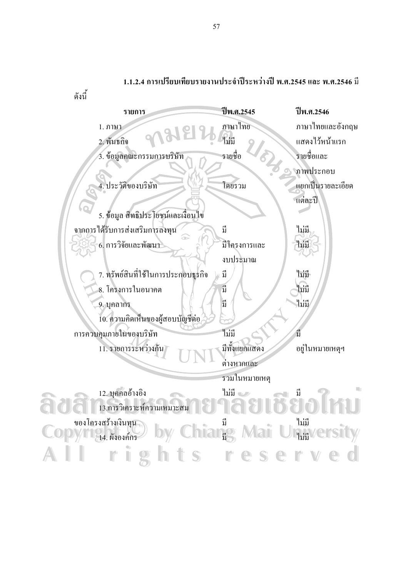

#### 1.1.2.4 การเปรียบเทียบรายงานประจำปีระหว่างปี พ.ศ.2545 และ พ.ศ.2546 มี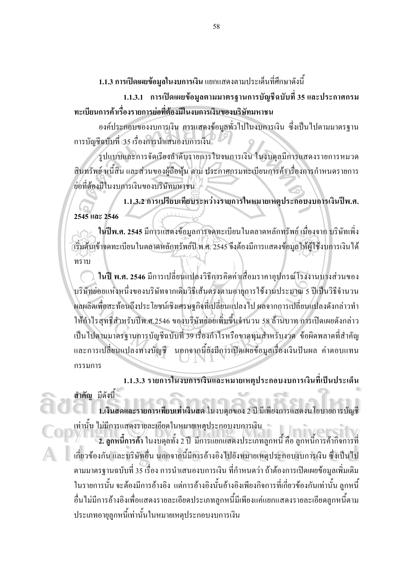1.1.3 การเปิดเผยข้อมูลในงบการเงิน แยกแสดงตามประเด็นที่ศึกษาดังนี้

1.1.3.1 การเปิดเผยข้อมูลตามมาตรฐานการบัญชีฉบับที่ 35 และประกาศกรม ทะเบียนการค้าเรื่องรายการย่อที่ต้องมีในงบการเงินของบริษัทมหาชน

้องค์ประกอบของงบการเงิน การแสดงข้อมูลทั่วไปในงบการเงิน ซึ่งเป็นไปตามมาตรฐาน การบัญชีฉบับที่ 35 เรื่องการนำเสนองบการเงิน

รูปแบบและการจัดเรียงลำดับรายการในงบการเงิน ในงบดุลมีการแสดงรายการหมวด สินทรัพย์ หนี้สิน และส่วนของผู้ถือหุ้น ตาม ประกาศกรมทะเบียนการค้า เรื่องการกำหนดรายการ ย่อที่ต้องมีในงบการเงินของบริษัทมหาชน

1.1.3.2 การเปรียบเทียบระหว่างรายการในหมายเหตุประกอบงบการเงินปีพ.ศ. 2545 และ 2546

ในปีพ.ศ. 2545 มีการแสดงข้อมูลการจดทะเบียนในตลาดหลักทรัพย์ เนื่องจาก บริษัทเพิ่ง ี้เริ่มต้นเข้างดทะเบียนในตลาดหลักทรัพย์ปี พ.ศ. 2545 จึงต้องมีการแสดงข้อมูลให้ผู้ใช้งบการเงินได้ ทราบ

ในปี พ.ศ. 2546 มีการเปลี่ยนแปลงวิธีการคิดค่าเสื่อมราคาอุปกรณ์โรงงานบางส่วนของ บริษัทย่อยแห่งหนึ่งของบริษัทจากเดิมวิธีเส้นตรงตามอายุการใช้งานประมาณ 5 ปีเป็นวิธีจำนวน ผลผลิตเพื่อสะท้อนถึงประโยชน์เชิงเศรษฐกิจที่เปลี่ยนแปลงไป ผลจากการเปลี่ยนแปลงดังกล่าวทำ ให้กำไรสุทธิสำหรับปีพ.ศ.2546 ของบริษัทย่อยเพิ่มขึ้นจำนวน 58 ล้านบาท การเปิดเผยดังกล่าว เป็นไปตามมาตรฐานการบัญชีฉบับที่ 39 เรื่องกำไรหรือขาดทุนสำหรับงวด ข้อผิดพลาดที่สำคัญ และการเปลี่ยนแปลงทางบัญชี นอกจากนี้ยังมีการเปิดเผยข้อมูลเรื่องเงินปันผล ค่าตอบแทน กรรมการ

1.1.3.3 รายการในงบการเงินและหมายเหตุประกอบงบการเงินที่เป็นประเด็น

สำคัญ มีดังนี้

1.เงินสดและรายการเทียบเท่าเงินสด ในงบดุลของ 2 ปี มีเพียงการแสดงนโยบายการบัญชี เท่านั้น ไม่มีการแสดงรายละเอียดในหมายเหตุประกอบงบการเงิน

้ 2. ลูกหนี้การค้า ในงบดุลทั้ง 2 ปี มีการแยกแสดงประเภทลูกหนี้ คือ ลูกหนี้การค้ากิจการที่ เกี่ยวข้องกัน และบริษัทอื่น นอกจากนี้มีการอ้างอิงไปยังหมายเหตุประกอบงบการเงิน ซึ่งเป็นไป ้ตามมาตรฐานฉบับที่ 35 เรื่อง การนำเสนองบการเงิน ที่กำหนดว่า ถ้าต้องการเปิดเผยข้อมูลเพิ่มเติม ในรายการนั้น จะต้องมีการอ้างอิง แต่การอ้างอิงนั้นอ้างอิงเพียงกิจการที่เกี่ยวข้องกันเท่านั้น ลูกหนี้ อื่นใม่มีการอ้างอิงเพื่อแสดงรายละเอียดประเภทลกหนี้มีเพียงแค่แยกแสดงรายละเอียดลกหนี้ตาม ประเภทอายลกหนี้เท่านั้นในหมายเหตประกอบงบการเงิน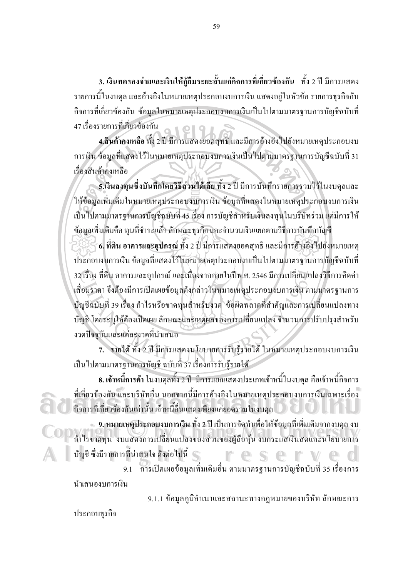**3.** เงินทดรองจ่ายและเงินให้กู้ยืมระยะสั้นแก่กิจการที่เกี่ยวข้องกัน ทั้ง 2 ปี มีการแสดง รายการนี้ในงบคุล และอ้างอิงในหมายเหตุประกอบงบการเงิน แสดงอยู่ในหัวข้อ รายการธุรกิจกับ กิจการที่เกี่ยวข้องกัน ข้อมูลในหมายเหตุประกอบงบการเงินเป็นไปตามมาตรฐานการบัญชีฉบับที่ 47 เรื่องรายการที่เกี่ยวข้องกัน

 $\overline{4.}$ สิ้นค้าคงเหลือ ทั้ง 2 ปี มีการแสดงยอดสุทธิ์ และมีการอ้างอิงไปยังหมายเหตุประกอบงบ การเงิน ข้อมูลที่แสดงใว้ในหมายเหตุประกอบงบการเงินเป็นไปตามมาตรฐานการบัญชีฉบับที่ 31 เรื่องสินค้าคงเหลือ

**5.เงินลงทุนซึ่งบันทึกโดยวิธีส่วนใด้เสีย** ทั้ง 2 ปี มีการบันทึกรายการรวมไว้ในงบดุลและ ให้ข้อมูลเพิ่มเติมในหมายเหตุประกอบงบการเงิน ข้อมูลที่แสดงในหมายเหตุประกอบงบการเงิน เป็นไปตามมาตรฐานการบัญชีฉบับที่ 45 เรื่อง การบัญชีสำหรับเงินลงทุนในบริษัทร่วม แต่มีการให้ ข้อมูลเพิ่มเติมคือ ทุนที่ชำระแล้ว ลักษณะธุรกิจ และจำนวนเงินแยกตามวิธีการบันทึกบัญชี

**6. ที่ดิน อาคารและอุปกรณ์** ทั้ง 2 ปี มีการแสดงยอดสุทธิ และมีการอ้างอิงไปยังหมายเหตุ ประกอบงบการเงิน ข้อมูลที่แสดงใว้ในหมายเหตุประกอบงบเป็นใปตามมาตรฐานการบัญชีฉบับที่ 32 เรื่อง ที่ดิน อาการและอุปกรณ์ และเนื่องจากภายในปี่พ.ศ. 2546 มีการเปลี่ยนแปลงวิธีการกิดค่า เสื่อมราคา จึงต้องมีการเปิดเผยข้อมูลดังกล่าวในหมายเหตุประกอบงบการเงิน ตามมาตรฐานการ บัญชีฉบับที่ 39 เรื่อง กำไรหรือขาดทุนสำหรับงวด ข้อผิดพลาดที่สำคัญและการเปลี่ยนแปลงทาง บัญชี โดยระบุให้ต้องเปิดเผย ลักษณะและเหตุผลของการเปลี่ยนแปลง จำนวนการปรับปรุงสำหรับ งวคปัจจุบันและแต่ละงวคที่นำเสนอ

7. รายใด้ ทั้ง 2 ปี มีการแสดงนโยบายการรับรู้รายใด้ ในหมายเหตุประกอบงบการเงิน เป็นไปตามมาตรฐานการบัญชี ฉบับที่ 37 เรื่องการรับรู้รายได้

 ${\bf s}$ . **เจ้าหนี้การค้า** ในงบคุลทั้ง 2 ปี มีการแยกแสดงประเภทเจ้าหนี้ในงบคุล คือเจ้าหนี้กิจการ ที่เกี่ยวข้องกัน และบริษัทอื่น นอกจากนี้มีการอ้างอิงในหมายเหตุประกอบงบการเงินเฉพาะเรื่อง<br>- คิจการที่เกี่ยวข้องกันเท่านั้น เจ้าหนี้อื่นแสดงเพียงแค่ยอดรวมในงบดุล<br>- อ. หมายเหตุประกอบงบการเงิน ทั้ง 2 ปี เป็นการจัดทำเพื่อให้ข้ กิจการที่เกี่ยวข้องกันเท่านั้น เจ้าหนี้อื่นแสดงเพียงแก่ยอดรวมในงบดุล

9. หมายเหตุประกอบงบการเงิน ทั้ง 2 ปี เป็นการจัดทำเพื่อให้ข้อมูลที่เพิ่มเติมจากงบดุล งบ #&- 
"-
'-!a0)&- 
%--6"" **Copyright by Chiang Mai University Copyright by Chiang Mai University** บัญชี ซึ่งมีรายการที่น่าสนใจ ดังต่อไปนี้ ค.ศ. 1992 - มีนาคม การเป็นอันเป็นรายออก มี บอมผู้แอกุน งบกระแนงนักพนเร่น เอบ เอกรร<br>- ขัญชี ซึ่งมีรายการที่น่าสนใจ ดังต่อไปนี้<br>- 9.1 การเปิดเผยข้อมูลเพิ่มเติมอื่น ตามมาตรฐานการบัญชีฉบับที่ 35 เรื่องการ

นำเสนองบการเงิน

9.1.1 ข้อมูลภูมิลำเนาและสถานะทางกฎหมายของบริษัท ลักษณะการ

ประกอบธุรกิจ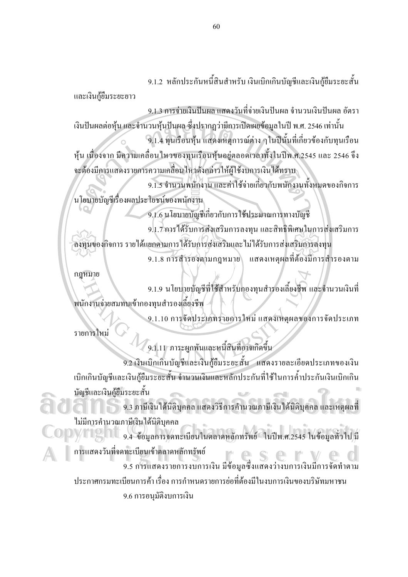9.1.2 หลักประกันหนี้สินสำหรับ เงินเบิกเกินบัญชีและเงินกู้ยืมระยะสั้น

และเงินกู้ยืมระยะยาว

9.1.3 การจ่ายเงินปันผล แสดงวันที่จ่ายเงินปันผล จำนวนเงินปันผล อัตรา

้เงินปันผลต่อหุ้น และจำนวนหุ้นปันผล ซึ่งปรากฏว่ามีการเปิดเผยข้อมูลในปี พ.ศ. 2546 เท่านั้น 9.1.4 ทุนเรือนหุ้น แสดงเหตุการณ์ต่าง ๆในปีนั้นที่เกี่ยวข้องกับทุนเรือน ้หุ้น เนื่องจาก มีความเคลื่อนใหวของทุนเรือนหุ้นอยู่ตลอดเวลาทั้งในปีพ.ศ.2545 และ 2546 จึง จะต้องมีการแสดงรายการความเคลื่อนใหวดังกล่าวให้ผู้ใช้งบการเงินได้ทราบ

9.1.5 จำนวนพนักงาน และค่าใช้จ่ายเกี่ยวกับพนักงานทั้งหมดของกิจการ นโยบายบัญชีเรื่องผลประโยชน์ของพนักงาน

9.1.6 นโยบายบัญชีเกี่ยวกับการใช้ประมาณการทางบัญชี

9.1.7 การได้รับการส่งเสริมการลงทุน และสิทธิพิเศษในการส่งเสริมการ ลงทนของกิจการ รายได้แยกตามการได้รับการส่งเสริมและไม่ได้รับการส่งเสริมการลงทน แสดงเหตุผลที่ต้องมีการสำรองตาม 9.1.8 การสำรองตามกฎหมาย

กฎหมาย

9.1.9 นโยบายบัญชีที่ใช้สำหรับกองทุนสำรองเลี้ยงชีพ และจำนวนเงินที่ พนักงานจ่ายสมทบเข้ากองทนสำรองเลี้ยงชีพ

9.1.10 การจัดประเภทรายการใหม่ แสดงเหตุผลของการจัดประเภท

รายการใหม่

์<br>9.1.11 ภาระผูกพันและหนี้สินที่อาจเกิดขึ้น 9.2 เงินเบิกเกินบัญชีและเงินกู้ยืมระยะสั้น แสดงรายละเอียดประเภทของเงิน ้เบิกเกินบัญชีและเงินกู้ยืมระยะสั้น จำนวนเงินและหลักประกันที่ใช้ในการค้ำประกันเงินเบิกเกิน บัญชีและเงินกู้ยืมระยะสั้น

9.3 ภาษีเงิน ได้นิติบุคคล แสดงวิธีการคำนวณภาษีเงิน ได้นิติบุคคล และเหตุผลที่ ใม่มีการคำนวณภาษีเงินได้นิติบุคคล

้<br>9.4 ข้อมูลการจดทะเบียนในตลาดหลักทรัพย์ ในปีพ.ศ.2545 ในข้อมูลทั่วไป มี การแสดงวันที่จดทะเบียนเข้าตลาดหลักทรัพย์  $\bigoplus$ 

9.5 การแสคงรายการงบการเงิน มีข้อมูลซึ่งแสคงว่างบการเงินมีการจัดทำตาม ประกาศกรมทะเบียนการค้า เรื่อง การกำหนดรายการย่อที่ต้องมีในงบการเงินของบริษัทมหาชน 9.6 การอนุมัติงบการเงิน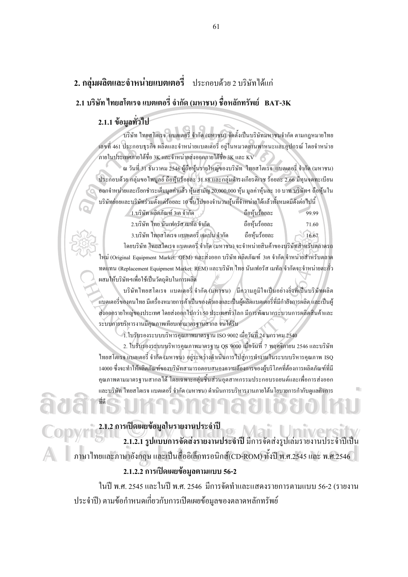## 2. กลุ่มผลิตและจำหน่ายแบตเตอรี่ ประกอบด้วย 2 บริษัทได้แก่ 2.1 บริษัท ไทยสโตเรจ แบตเตอรี่ จำกัด (มหาชน) ชื่อหลักทรัพย์ BAT-3K

## 2.1.1 ข้อมูลทั่วไป

้บริษัท ไทยสโตเรจ แบตเตอรี่ จำกัด (มหาชน) จัดตั้งเป็นบริษัทมหาชนจำกัด ตามกฎหมายไทย ้เลขที่ 461 ประกอบธุรกิจ ผลิตและจำหน่ายแบตเตอรี่ อยู่ในหมวดยานพาหนะและอุปกรณ์ โดยจำหน่าย ภายในประเทศภายใต้ชื่อ 3K และจำหน่ายส่งออกภายใต้ชื่อ 3K และ KV

ณ วันที่ 31 ธันวาคม 2546 ผู้ถือหุ้นรายใหญ่ของบริษัท "ไทยสโตเรจ แบตเตอรี่ จำกัด (มหาชน) ประกอบด้วย กล่มขอไพบลย์ ถือห้นร้อยละ 31.88 และกล่มดำรงเกียรติเวช ร้อยละ 2.66 มีทนจดทะเบียน ออกจำหน่ายและเรียกชำระเต็มมูลค่าแล้ว หุ้นสามัญ 20,000,000 หุ้น มูลค่าหุ้นละ 10 บาท บริษัทฯ ถือหุ้นใน บริษัทย่อยและบริษัทร่วมตั้งแต่ร้อยละ 10 ขึ้นไปของจำนวนหุ้นที่จำหน่ายได้แล้วทั้งหมดมีดังต่อไปนี้

| 1.บริษัท ผลิตภัณฑ์ 3เค จำกัด             | เถือห้นร้อยละ | 99.99 |
|------------------------------------------|---------------|-------|
| 2.บริษัท ไทย นันเฟอรัส เมทัล จำกัด       | ถือห้นร้อยละ  | 71.60 |
| 3.บริษัท ไทยสโตเรจ แบตเตอรี่ เจแปน จำกัด | ถือห้นร้อยละ  | 16.67 |

โดยบริษัท ไทยสโตเรจ แบตเตอรี่ จำกัด (มหาชน) จะจำหน่ายสินค้าของบริษัทสำหรับตลาดรถ ใหม่ (Original Equipment Market: OEM) และส่งออก บริษัท ผลิตภัณฑ์ 3เค จำกัด จำหน่ายสำหรับตลาด ทคแทน (Replacement Equipment Market: REM) และบริษัท ไทย นันเฟอรัส เมทัล จำกัดจะจำหน่ายตะกั่ว ผสมให้บริษัทฯเพื่อใช้เป็นวัตถุดิบในการผลิต

บริษัทไทยสโตเรจ แบตเตอรี่ จำกัด (มหาชน) พี่ความภมิใจเป็นอย่างยิ่งที่เป็นบริษัทผลิต ้แบตเตอรี่ของคนไทย มีเครื่องหมายการค้าเป็นของตัวเองและเป็นผู้ผลิตแบตเตอรี่ที่มีกำลังการผลิต และเป็นผู้ ส่งออกรายใหญ่ของประเทศ โดยส่งออกไปกว่า 50 ประเทศทั่วโลก มีการพัฒนากระบวนการผลิตสินค้าและ ระบบการบริหารงานมีคุณภาพเทียบเท่ามาตรฐานสากล จนได้รับ

 $1.1$ บรับรองระบบบริหารคุณภาพมาตรฐาน ISO 9002 เมื่อวันที่ 24 มกราคม 2540

2. ใบรับรองระบบบริหารคุณภาพมาตรฐาน QS 9000 เมื่อวันที่ 7 พฤศจิกายน 2546 และบริษัท ไทยสโตเรจ แบตเตอรี่ จำกัด (มหาชน) อยู่ระหว่างดำเนินการไปสู่การทำงานในระบบบริหารคุณภาพ ISQ 14000 ซึ่งจะทำให้ผลิตภัณฑ์ของบริษัทสามารถตอบสนองความต้องการของผู้บริโภคที่ต้องการผลิตภัณฑ์ที่มี ึดนภาพตามมาตรฐานสากลได้ โดยเฉพาะกล่มชื้นส่วนอุตสาหกรรมประกอบรถยนต์และเพื่อการส่งออก และบริษัท ไทยสโตเรจ แบตเตอรี่ จำกัด (มหาชน) ดำเนินการบริหารงานภายใต้นโยบายการกำกับดูแลกิจการ

# 2.1.2 การเปิดเผยข้อมูลในรายงานประจำปี

2.1.2.1 รูปแบบการจัดส่งรายงานประจำปี มีการจัดส่งรูปเล่มรายงานประจำปีเป็น ภาษาไทยและภาษาอังกฤษ และเป็นสื่ออิเล็กทรอนิกส์(CD-ROM) ทั้งปี พ.ศ.2545 และ พ.ศ.2546

#### 2.1.2.2 การเปิดเผยข้อมูลตามแบบ 56-2

ในปี พ.ศ. 2545 และในปี พ.ศ. 2546 มีการจัดทำและแสคงรายการตามแบบ 56-2 (รายงาน ี ประจำปี) ตามข้อกำหนดเกี่ยวกับการเปิดเผยข้อมูลของตลาดหลักทรัพย์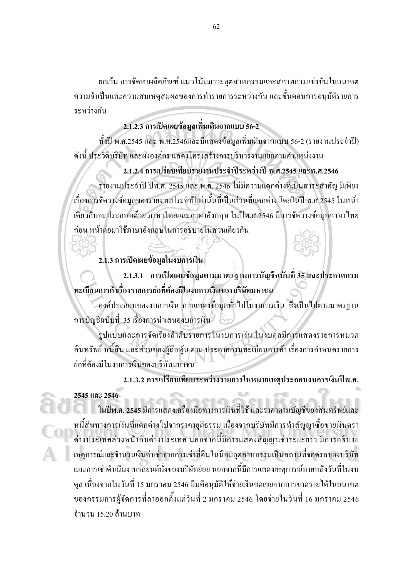ยกเว้น การจัดหาผลิตภัณฑ์ แนวโน้มภาวะอุตสาหกรรมและสภาพการแข่งขันในอนาคต ความจำเป็นและความสมเหตุสมผลของการทำรายการระหว่างกัน และขั้นตอนการอนุมัติรายการ ระหว่างกัน

## $2.1.2.3$  การเปิดเผยข้อมูลเพิ่มเติมจากแบบ 56-2

ทั้งปี พ.ศ.2545 และ พ.ศ.2546และมีแสดงข้อมูลเพิ่มเติมจากแบบ 56-2 (รายงานประจำปี) ดังนี้ ประวัติบริษัท และผังองค์กร แสดงโครงสร้างการบริหารงานแยกตามตำแหน่งงาน

## 2.1.2.4 การเปรียบเทียบรายงานประจำปีระหว่างปี พ.ศ.2545 และพ.ศ.2546

รายงานประจำปี ปีพ.ศ. 2545 และ พ.ศ. 2546 ใม่มีความแตกต่างที่เป็นสาระสำคัญ มีเพียง เรื่องการจัดวางข้อมูลของรายงานประจำปีเท่านั้นที่เป็นส่วนที่แตกต่าง โดยในปี พ.ศ.2545 ในหน้า เดียวกันจะประกอบด้วย ภาษาใทยและภาษาอังกฤษ ในปีพ.ศ.2546 มีการจัดวางข้อมูลภาษาใทย ก่อน หน้าต่อมาใช้ภาษาอังกฤษในการอธิบายในส่วนเดียวกัน

## 2.1.3 การเปิดเผยข้อมูลในงบการเงิน

2.1.3.1 การเปิดเผยช้อมูลตามมาตรฐานการบัญชีฉบับที่ 35 และประกาศกรม ทะเบียนการค้าเรื่องรายการย่อที่ต้องมีในงบการเงินของบริษัทมหาชน

องค์ประกอบของงบการเงิน การแสดงข้อมูลทั่วไปในงบการเงิน ซึ่งเป็นไปตามมาตรฐาน การบัญชีฉบับที่ 35 เรื่องการนำเสนองบการเงิน

รูปแบบและการจัดเรียงลำดับรายการในงบการเงิน ในงบคุลมีการแสดงรายการหมวด สินทรัพย์ หนี้สิน และส่วนของผู้ถือหุ้น ตาม ประกาศกรมทะเบียนการค้า เรื่องการกำหนดรายการ ย่อที่ต้องมีในงบการเงินของบริษัทมหาชน

2.1.3.2 การเปรียบเทียบระหว่างรายการในหมายเหตุประกอบงบการเงินปีพ.ศ. **2545 2546** 

**ในปีพ.ศ. 2545** มีการแสดงเครื่องมือทางการเงินที่ใช้ และราคาตามบัญชีของสินทรัพย์และ หนี้สินทางการเงินที่แตกต่างไปจากราคายุติธรรม เนื่องจากบริษัทมีการทำสัญญาซื้อขายเงินตรา + หนี้สินทางการเงินที่แตกต่างไปจากราคาขุติธรรม เนื่องจากบริษัทมีการทำสัญญาซื้อขายเงินตรา<br>- ต่างประเทศล่วงหน้ากับต่างประเทศ นอกจากนี้มีการแสดงสัญญาเช่าระยะยาว มีการอธิบาย เหตุการณ์และจำนวนเงินค่าเช่าจากการเช่าที่ดินในนิคมอุตสาหกรรมเป็นสถานที่จอครถของบริษัท และการเช่าคำเนินงานรถยนต์นั่งของบริษัทย่อย นอกจากนี้มีการแสคงเหตุการณ์ภายหลังวันที่ในงบ จุล เนื่องจากในวันที่ 15 มกราคม 2546 มีมติอนุมัติให้จ่ายเงินชดเชยจากการขาดรายได้ในอนาคต ของกรรมการผู้จัดการที่ลาออกตั้งแต่วันที่ 2 มกราคม 2546 โดยจ่ายในวันที่ 16 มกราคม 2546 จำนวน 15.20 ล้านบาท <u>2545 และ 2546</u><br>- ในปีพ.ศ. 2545 มีการแสดงเครื่องมือทางการเงินที่ใช้ และราคาตามบัญชีของสินทรัพย์และ<br>- หนี้สินทางอารเงินที่แตกต่างไปอากราคายติรรรบ เนื่องอาจบริษัทบีการทำสักษายตี้อยายเงินตรา หารบวงเททตวรศานากษารบวงเทท นอกจากนมกวรณ์พรงญญากาวงงงอาวามกาวอบบาอ<br>เหตุการณ์และจำนวนเงินค่าเช่าจากการเช่าที่ดินในนิคมอุตสาหกรรมเป็นสถานที่จอครถของบริษัท<br>และการเช่าจำเป็นงานรถยนต์นั่งของบริษัทย่อย บอกจากนี้บีการแสดงเหตุการณ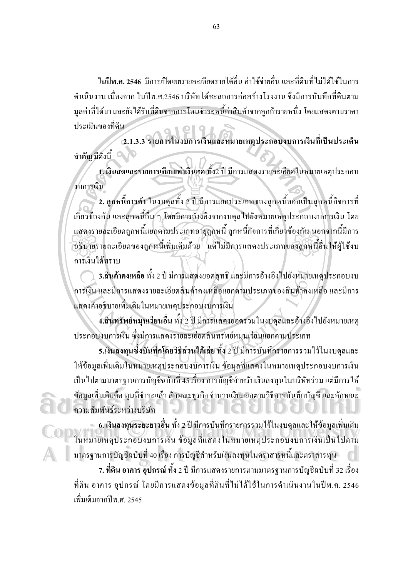ในปีพ.ศ. 2546 มีการเปิดเผยรายละเอียดรายได้อื่น ค่าใช้ถ่ายอื่น และที่ดินที่ไม่ได้ใช้ในการ ้คำเนินงาน เนื่องจาก ในปีพ.ศ.2546 บริษัทได้ชะลอการก่อสร้างโรงงาน จึงมีการบันทึกที่ดินตาม ้มูลค่าที่ได้มา และยังได้รับที่ดินจากการโอนชำระหนี้ค่าสินค้าจากลูกค้ารายหนึ่ง โดยแสดงตามราคา ประเมินของที่ดิบ

2.1.3.3 รายการในงบการเงินและหมายเหตุประกอบงบการเงินที่เป็นประเด็น สำคัญ มีคังนี้

1. เงินสดและรายการเทียบเท่าเงินสด ทั้ง2 ปี มีการแสดงรายละเอียดในหมายเหตุประกอบ งบการเงิน

2. ลูกหนี้การค้า ในงบคุลทั้ง 2 ปี มีการแยกประเภทของลูกหนี้ออกเป็นลูกหนี้กิจการที่ เกี่ยวข้องกัน และลูกหนี้อื่น ๆ โดยมีการอ้างอิงจากงบดุลไปยังหมายเหตุประกอบงบการเงิน โดย แสดงรายละเอียดลูกหนี้แยกตามประเภทอายุลูกหนี้ ลูกหนี้กิจการที่เกี่ยวข้องกัน นอกจากนี้มีการ ้อธิบายรายละเอียดของลูกหนี้เพิ่มเติมด้วย แต่ไม่มีการแสดงประเภทของลูกหนี้อื่นให้ผู้ใช้งบ การเงิบได้ทราบ

3.สินค้าคงเหลือ ทั้ง 2 ปี มีการแสดงยอดสุทธิ และมีการอ้างอิงไปยังหมายเหตุประกอบงบ ิการเงิน และมีการแสดงรายละเอียดสินค้าคงเหลือแยกตามประเภทของสินค้าคงเหลือ และมีการ แสดงคำอธิบายเพิ่มเติมในหมายเหตุประกอบงบการเงิน

4.สินทรัพย์หมุนเวียนอื่น ทั้ง 2 ปี มีการแสดงยอครวมในงบดุลและอ้างอิงไปยังหมายเหตุ ประกอบงบการเงิน ซึ่งมีการแสดงรายละเอียดสินทรัพย์หมุนเวียนแยกตามประเภท

5.เงินลงทุนซึ่งบันทึกโดยวิธีส่วนได้เสีย ทั้ง 2 ปี มีการบันทึกรายการรวมไว้ในงบคลและ ให้ข้อมูลเพิ่มเติมในหมายเหตุประกอบงบการเงิน ข้อมูลที่แสดงในหมายเหตุประกอบงบการเงิน เป็นไปตามมาตรฐานการบัญชีฉบับที่ 45 เรื่อง การบัญชีสำหรับเงินลงทุนในบริษัทร่วม แต่มีการให้ ข้อมูลเพิ่มเติมกือ ทุนที่ชำระแล้ว ลักษณะธุรกิจ จำนวนเงินแยกตามวิธีการบันทึกบัญชี และลักษณะ ความสัมพันธ์ระหว่างบริษัท ι.

– 6. เงินลงทุนระยะยาวอื่น ทั้ง 2 ปี มีการบันทึกรายการรวมไว้ในงบคุลและให้ข้อมูลเพิ่มเติม ในหมายเหตุประกอบงบการเงิน ข้อมูลที่แสดงในหมายเหตุประกอบงบการเงินเป็นไปตาม ้มาตรฐานการบัญชีฉบับที่ 40 เรื่อง การบัญชีสำหรับเงินลงทุนในตราสารหนี้และตราสารทุน

7. ที่ดิน อาคาร อุปกรณ์ ทั้ง 2 ปี มีการแสดงรายการตามมาตรฐานการบัญชีฉบับที่ 32 เรื่อง ที่ดิน อาคาร อุปกรณ์ โดยมีการแสดงข้อมูลที่ดินที่ไม่ได้ใช้ในการดำเนินงานในปีพ.ศ. 2546 ้เพิ่มเติมจากปีพ ศ. 2545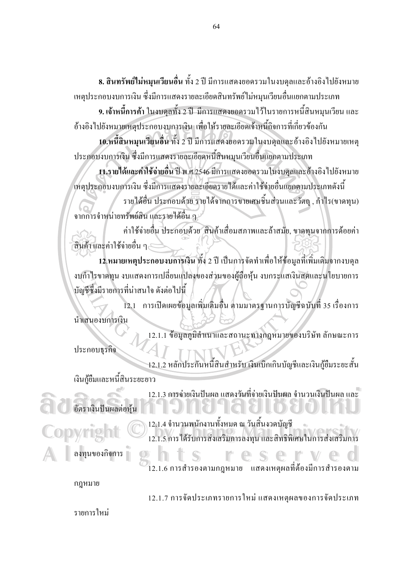8. สินทรัพย์ไม่หมุนเวียนอื่น ทั้ง 2 ปี มีการแสดงยอดรวมในงบดุลและอ้างอิงไปยังหมาย เหตุประกอบงบการเงิน ซึ่งมีการแสดงรายละเอียดสินทรัพย์ใม่หมุนเวียนอื่นแยกตามประเภท

่ 9. เจ้าหนี้การค้า ในงบดุลทั้ง 2 ปี มีการแสดงยอครวมไว้ในรายการหนี้สินหมุนเวียน และ อ้างอิงไปยังหมายเหตุประกอบงบการเงิน เพื่อให้รายละเอียดเจ้าหนี้กิจการที่เกี่ยวข้องกัน

10.หนี้สินหมุนเวียนอื่น ทั้ง 2 ปี มีการแสดงยอดรวมในงบดุลและอ้างอิงไปยังหมายเหตุ ประกอบงบการเงิน ซึ่งมีการแสดงรายละเอียดหนี้สินหมุนเวียนอื่นแยกตามประเภท

11.รายได้และค่าใช้จ่ายอื่น ปี พ.ศ.2546 มีการแสดงขอครวมในงบคุลและอ้างอิงไปยังหมาย เหตุประกอบงบการเงิน ซึ่งมีการแสดงรายละเอียดรายใด้และค่าใช้ง่ายอื่นแยกตามประเภทดังนี้

รายใค้อื่น ประกอบด้วย รายใด้จากการขายเศษชิ้นส่วนและวัตถุ , กำไร(ขาดทุน) จากการจำหน่ายทรัพย์สิน และรายได้อื่น ๆ

้ค่าใช้ง่ายอื่น ประกอบด้วย สินค้าเสื่อมสภาพและล้าสมัย, ขาดทุนจากการด้อยค่า สินค้า และค่าใช้จ่ายอื่น ๆ -

12.หมายเหตุประกอบงบการเงิน ทั้ง 2 ปี เป็นการจัดทำเพื่อให้ข้อมูลที่เพิ่มเติมจากงบดุล งบกำไรขาดทุน งบแสดงการเปลี่ยนแปลงของส่วนของผู้ถือหุ้น งบกระแสเงินสดและนโยบายการ ้บัญชีซึ่งมีรายการที่น่าสนใจ ดังต่อไปนี้

12.1 การเปิดเผยข้อมูลเพิ่มเติมอื่น ตามมาตรฐานการบัญชีฉบับที่ 35 เรื่องการ นำเสนองบการเงิน

12.1.1 ข้อมูลภูมิลำเนาและสถานะทางกฎหมายของบริษัท ลักษณะการ ประกอบธรกิจ

12.1.2 หลักประกันหนี้สินสำหรับ เงินเบิกเกินบัญชีและเงินกู้ยืมระยะสั้น เงินกู้ขึ้มและหนี้สินระยะยาว

12.1.3 การจ่ายเงินปันผล แสดงวันที่จ่ายเงินปันผล จำนวนเงินปันผล และ อัตราเงินปันผลต่อหุ้น

12.1.4 จำนวนพนักงานทั้งหมด ณ วันสิ้นงวดบัญชี 12.1.5 การได้รับการส่งเสริมการลงทน และสิทธิพิเศษในการส่งเสริมการ

ลงทุนของกิจการ

12.1.6 การสำรองตามกฎหมาย แสดงเหตผลที่ต้องมีการสำรองตาม

กฎหมาย

12.1.7 การจัดประเภทรายการใหม่ แสดงเหตุผลของการจัดประเภท

รายการใหม่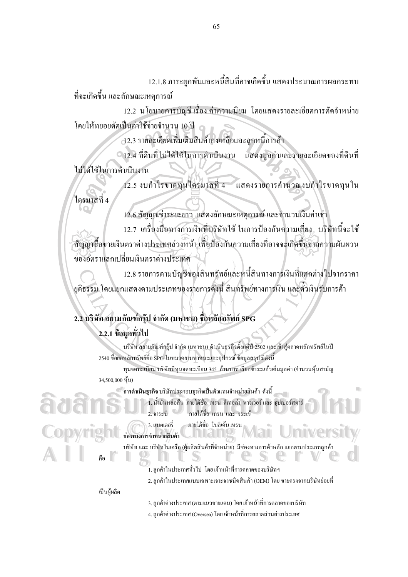12.1.8 ภาระผูกพันและหนี้สินที่อาจเกิดขึ้น แสดงประมาณการผลกระทบ ที่จะเกิดขึ้น และลักษณะเหตุการณ์

12.2 นโยบายการบัญชี เรื่อง ค่าความนิยม โดยแสดงรายละเอียดการตัดจำหน่าย โดยให้ทยอยตัดเป็นค่าใช้จ่ายจำนวน 10 ปี

12.3 รายละเอียดเพิ่มเติมสินค้าคงเหลือและลกหนี้การค้า

0 12.4 ที่ดินที่ไม่ได้ใช้ในการดำเนินงาน แสคงมูลค่าและรายละเอียคของที่คินที่ ไม่ได้ใช้ในการดำเนินงาน

12.5 งบกำไรขาดทุนไตรมาสที่ 4 แสดงรายการคำนวณงบกำไรขาดทุนใน ใตรมาสที่ 4

12.6 สัญญาเช่าระยะยาว แสดงลักษณะเหตุการณ์และจำนวนเงินค่าเช่า 12.7 เครื่องมือทางการเงินที่บริษัทใช้ ในการป้องกันความเสี่ยง, บริษัทนี้จะใช้ สัญญาซื้อขายเงินตราต่างประเทศล่วงหน้า เพื่อป้องกันความเสี่ยงที่อาจจะเกิดขึ้นจากความผันผวน ของอัตราแลกเปลี่ยนเงินตราต่างประเทศ

12.8 รายการตามบัญชีของสินทรัพย์และหนี้สินทางการเงินที่แตกต่างไปจากราคา ียติธรรม โดยแยกแสดงตามประเภทของรายการดังนี้ สินทรัพย์ทางการเงิน และตั๋วเงินรับการค้า

## 2.2 บริษัท สยามภัณฑ์กรุ๊ป จำกัด (มหาชน) ชื่อหลักทรัพย์ SPG

## 2.2.1 ข้อมลทั่วไป

บริษัท สยามภัณฑ์กรุ๊ป จำกัด (มหาชน) คำเนินธุรกิจตั้งแต่ปี 2502 และเข้าสู่ตลาดหลักทรัพย์ในปี 2540 ชื่อย่อหลักทรัพย์คือ SPG ในหมวดยานพาหนะและอปกรณ์ ข้อมลสรป มีดังนี้ ทุนจดทะเบียน บริษัทมีทุนจดทะเบียน 345 ถ้านบาท เรียกชำระแล้วเต็มมูลค่า (จำนวนหุ้นสามัญ 34,500,000 หัน)

การดำเนินธุรกิจ บริษัทประกอบธุรกิจเป็นตัวแทนจำหน่ายสินค้า ดังนี้

1. น้ำมันหล่อลื่น ภายใต้ชื่อ เทรน ดีเทอล่า พาวเวอร์ และ ซุปเปอร์สตาร์ 2. จาระบี ิ ภายใต้ชื่อ เทรน และ จระเข้

m

ภายใต้ชื่อ โบลีเค้นเทรน 3. แบตเตอรี่

ช่องทางการจำหน่ายสินค้า

บริษัท และ บริษัทในเครือ (ผู้ผลิตสินค้าที่จำหน่าย) มีช่องทางการค้าหลัก แยกตามประเภทลูกค้า

1 ลกค้าในประเทศทั่วไป โดยเจ้าหน้าที่การตลาดของบริษัทฯ

2. ลกค้าในประเทศแบบเฉพาะเจาะจงชนิดสินค้า (OEM) โดย ขายตรงจากบริษัทย่อยที่

#### เป็นผู้ผลิต

3. ลูกค้าต่างประเทศ (ตามแนวชายแคน) โดย เจ้าหน้าที่การตลาดของบริษัท

4. ถูกค้าต่างประเทศ (Oversea) โดย เจ้าหน้าที่การตลาดส่วนต่างประเทศ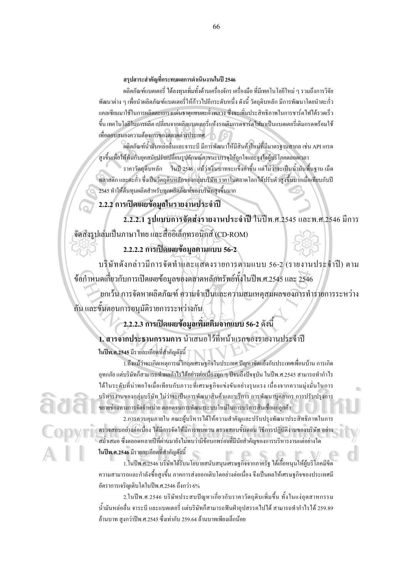ี่ สรปสาระสำคัญที่กระทบผลการดำเนินงานในปี 2546

้ผลิตภัณฑ์แบตเตอรี่ ได้ลงทนเพิ่มทั้งด้านเครื่องจักร เครื่องมือ ที่มีเทคโนโลยีใหม่ ๆ รวมถึงการวิจัย พัฒนาต่าง ๆ เพื่อนำผลิตภัณฑ์แบตเตอรี่ให้ก้าวไปอีกระดับหนึ่ง ดังนี้ วัตถดิบหลัก มีการพัฒนาโดยนำตะกั่ว แคลเซียมมาใช้ในการผลิตตะแกรงแผ่นธาตแทนตะกั่วพลวง ซึ่งจะเพิ่มประสิทธิภาพในการชาร์ตไฟได้รวดเร็ว ์ ขึ้น เทคโนโลยีในการผลิต เปลี่ยนจากผลิตแบตเตอรี่แห้งรอเติมกรดชาร์ต ไฟมาเป็นแบตเตอรี่เติมกรดพร้อมใช้ เพื่อตอบสนองความต้องการของตลาดต่างประเทศ

.<br>ผลิตภัณฑ์น้ำมันหล่อลื่นและจาระบี มีการพัฒนาให้มีสินค้าใหม่ที่มีมาตรฐานสากล เช่น API เกรด สูงขึ้นเพื่อให้ทันกับยุคสมัยปรับเปลี่ยนรูปลักษณ์ภาชนะบรรจุให้ถูกใจและจูงใจผู้บริโภคตลอดเวลา

ี ราคาวัตถุดิบหลัก ในปี 2546 แม้ว่าเงินบาทจะแข็งค่าขึ้น แต่ไม่ว่าจะเป็นน้ำมันพื้นฐาน เม็ด ์ พลาสติก และตะกั่ว ซึ่งเป็นวัตถุดิบหลักของกลุ่มบริษัท ราคาในตลาดโลกได้ปรับตัวสูงขึ้นมากเมื่อเทียบกับปี 2545 ทำให้ต้นทุนผลิตสำหรับทุกผลิตภัณฑ์ของบริษัทสูงขึ้นมาก

2.2.2 การเปิดเผยข้อมูลในรายงานประจำปี

2.2.2.1 รูปแบบการจัดส่งรายงานประจำปี ในปีพ.ศ.2545 และพ.ศ.2546 มีการ จัดส่งรูปเล่มเป็นภาษาไทย และสื่ออิเล็กทรอนิกส์ (CD-ROM)

2.2.2.2 การเปิดเผยข้อมูลตามแบบ 56-2

บริษัทดังกล่าวมีการจัดทำและแสดงรายการตามแบบ 56-2 (รายงานประจำปี) ตาม ข้อกำหนดเกี่ยวกับการเปิดเผยข้อมูลของตลาดหลักทรัพย์ทั้งในปีพ.ศ.2545 และ 2546

ียกเว้น การจัดหาผลิตภัณฑ์ ความจำเป็นและความสมเหตุสมผลของการทำรายการระหว่าง กัน และขั้นตอนการอนุมัติรายการระหว่างกัน

## 2.2.2.3 การเปิดเผยข้อมูลเพิ่มเติมจากแบบ 56-2 ดังนี้

1. สารจากประธานกรรมการ นำเสนอไว้ที่หน้าแรกของรายงานประจำปี

ในปีพ.ศ.2545 มีรายละเอียดที่สำคัญดังนี้

1.ถึงแม้ว่าจะเกิดเหตุการณ์วิกฤตเศรษฐกิจในประเทศ ปัญหาขัดแย้งกับประเทศเพื่อนบ้าน การเกิด อุทกภัย แต่บริษัทก็สามารถทำผลกำไรได้อย่างต่อเนื่องทุก ๆ ปีจนถึงปัจจุบัน ในปีพ.ศ.2545 สามารถทำกำไร ใด้ในระดับที่น่าพอใจเมื่อเทียบกับภาวะที่เศรษฐกิจแข่งขันอย่างรุนแรง เนื่องจากความมุ่งมั่นในการ บริหารงานของกล่มบริษัท ไม่ว่าจะเป็นการพัฒนาสินค้าและบริการ การพัฒนาบคลากร การปรับปรงการ ขยายช่องทางการจัดจำหน่าย ตลอดจนการพัฒนาระบบใหม่ในการบริการสินเชื่อแก่ลูกค้า

2.การควบคุมภายใน คณะผู้บริหารได้ให้ความสำคัญและปรับปรุงพัฒนาประสิทธิภาพในการ ตรวจสอบอย่างต่อเนื่อง ใด้มีการจัดให้มีการทบทวน ตรวจสอบขั้นตอน วิธีการปฏิบัติงานของบริษัท อย่าง ิสม่ำเสมอ ซึ่งตลอดหลายปีที่ผ่านมายังไม่พบว่ามีข้อบกพร่องที่มีนัยสำคัญของการบริหารงานแต่อย่างใด ในปีพ.ศ.2546 มีรายละเอียดที่สำคัญดังนี้  $\blacksquare$ 

1.ในปีพ.ศ.2546 บริษัท ได้รับนโยบายสนับสนุนเศรษฐกิจจากภาครัฐ ได้เกื้อหนุนให้ผู้บริโภคมีขีด ความสามารถและกำลังซื้อสูงขึ้น ภาคการส่งออกเติบโตอย่างต่อเนื่อง จึงเป็นผลให้เศรษฐกิจของประเทศมี อัตราการเจริญเติบโตในปีพ.ศ.2546 ถึงกว่า 6%

2.ในปีพ.ศ.2546 บริษัทประสบปัญหาเกี่ยวกับราคาวัตถุดิบเพิ่มขึ้น ทั้งในแง่อุตสาหกรรม ้น้ำมันหล่อลื่น จาระบี และแบตเตอรี่ แต่บริษัทก็สามารถฟันฝ่าอปสรรคไปได้ สามารถทำกำไรได้ 259.89 ล้านบาท สูงกว่าปีพ.ศ.2545 ซึ่งเท่ากับ 259.64 ล้านบาทเพียงเล็กน้อย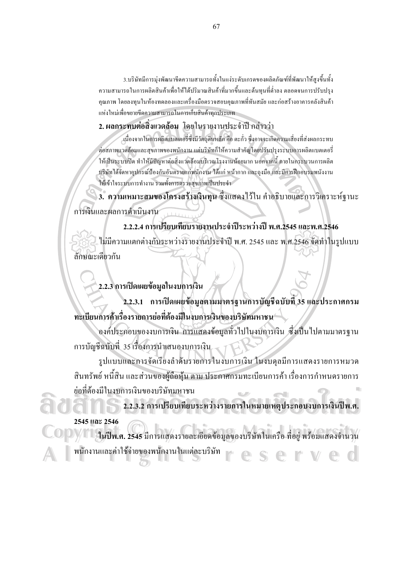3.บริษัทมีการม่งพัฒนาขี้ดความสามารถทั้งในแง่ระดับเกรดของผลิตภัณฑ์ที่พัฒนาให้สงขึ้นทั้ง ความสามารถในการผลิตสินค้าเพื่อให้ได้ปริมาณสินค้าที่มากขึ้นและต้นทุนที่ต่ำลง ตลอดจนการปรับปรุง คุณภาพ โดยลงทุนในห้องทดลองและเครื่องมือตรวจสอบคุณภาพที่ทันสมัย และก่อสร้างอาคารคลังสินค้า แห่งใหม่เพื่อขยายขีดความสามารถในการเก็บสินค้าทกประเภท

2. ผลกระทบต่อสิ่งแวดล้อม โดยในรายงานประจำปี กล่าวว่า

้ เนื่องจากในการผลิตแบตเตอรี่ซึ่งมีวัตถุดิบหลัก กือ ตะกั่ว ซึ่งอาจจะเกิดความเสี่ยงที่ส่งผลกระทบ ้ต่อสภาพแวดล้อมและสุขภาพของพนักงาน แต่บริษัทก็ให้ความสำคัญโดยปรับปรุงระบบการผลิตแบตเตอรี่ ให้เป็นระบบปิด ทำให้มีปัญหาต่อสิ่งแวดล้อมบริเวณโรงงานน้อยมาก นอกจากนี้ ภายในกระบวนการผลิต บริษัทได้จัดหาอุปกรณ์ป้องกันอันตรายแก่พนักงาน ได้แก่ หน้ากาก และถุงมือ และมีการฝึกอบรมพนังงาน ให้เข้าใจระบบการทำงาน รวมทั้งการตรวจสขภาพเป็นประจำ

3. ความเหมาะสมของโครงสร้างเงินทุน ซึ่งแสดงไว้ใน คำอธิบายและการวิเคราะห์ฐานะ การเงินและผลการดำเนินงาน

2.2.2.4 การเปรียบเทียบรายงานประจำปีระหว่างปี พ.ศ.2545 และพ.ศ.2546 ไม่มีความแตกต่างกันระหว่างรายงานประจำปี พ.ศ. 2545 และ พ.ศ.2546 จัดทำในรูปแบบ ลักษณะเดียวกัน

2.2.3 การเปิดเผยข้อมูลในงบการเงิน

2.2.3.1 การเปิดเผยข้อมูลตามมาตรฐานการบัญชีฉบับที่ 35 และประกาศกรม ทะเบียนการค้าเรื่องรายการย่อที่ต้องมีในงบการเงินของบริษัทมหาชน

้องค์ประกอบของงบการเงิน การแสดงข้อมูลทั่วไปในงบการเงิน ซึ่งเป็นไปตามมาตรฐาน ึการบัญชีฉบับที่ 35 เรื่องการนำเสนองบการเงิน

รูปแบบและการจัดเรียงลำดับรายการในงบการเงิน ในงบดุลมีการแสดงรายการหมวด ้สินทรัพย์ หนี้สิน และส่วนของผู้ถือหุ้น ตาม ประกาศกรมทะเบียนการค้า เรื่องการกำหนดรายการ ย่อที่ต้องมีในงบการเงินของบริษัทมหาชน

2.2.3.2 การเปรียบเทียบระหว่างรายการในหมายเหตุประกอบงบการเงินปีพ.ศ. 2545 และ 2546

์<br>| ในปีพ.ศ. 2545 มีการแสดงรายละเอียดข้อมูลของบริษัทในเครือ ที่อยู่ พร้อมแสดงจำนวน พนักงานและค่าใช้จ่ายของพนักงานในแต่ละบริษัท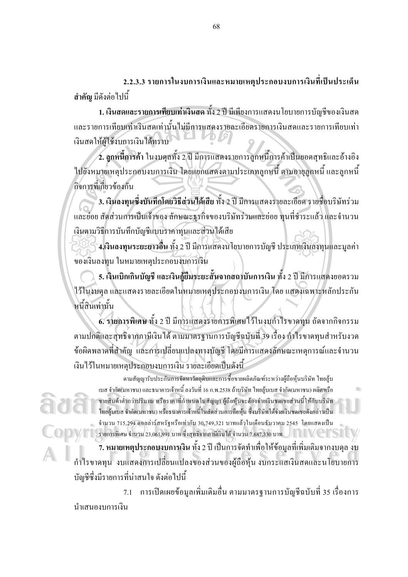2.2.3.3 รายการในงบการเงินและหมายเหตุประกอบงบการเงินที่เป็นประเด็น ี <mark>สำคัญ</mark> มีคังต่อไปนี้

1. เงินสดและรายการเทียบเท่าเงินสด ทั้ง 2 ปี มีเพียงการแสดงน โยบายการบัญชีของเงินสด และรายการเทียบเท่าเงินสดเท่านั้นไม่มีการแสดงรายละเอียดรายการเงินสดและรายการเทียบเท่า เงินสดให้ผู้ใช้งบการเงินได้ทราบ

2. ลูกหนี้การค้า ในงบคุลทั้ง 2 ปี มีการแสดงรายการลูกหนี้การค้าเป็นยอดสุทธิและอ้างอิง ไปยังหมายเหตุประกอบงบการเงิน โดยแยกแสดงตามประเภทลูกหนี้ ตามอายุลูกหนี้ และลูกหนี้ กิจการที่เกี่ยวข้องกัน

3. เงินลงทุนซึ่งบันทึกโดยวิธีส่วนได้เสีย ทั้ง 2 ปี มีการแสดงรายละเอียด รายชื่อบริษัทร่วม และย่อย สัคส่วนการเป็นเจ้าของ ลักษณะธุรกิจของบริษัทร่วมและย่อย ทุนที่ชำระแล้ว และจำนวน เงินตามวิธีการบันทึกบัญชีแบบรากาทุนและส่วนใด้เสีย

ิ **4.เงินลงทุนระยะยาวอื่น** ทั้ง 2 ปี มีการแสดงนโยบายการบัญชี ประเภทเงินลงทุนและมูลค่า ของเงินลงทุน ในหมายเหตุประกอบงบการเงิน

5. เงินเบิกเกินบัญชี และเงินกู้ยืมระยะสั้นจากสถาบันการเงิน ทั้ง 2 ปี มีการแสดงยอดรวม ไว้ในงบคุล และแสคงรายละเอียดในหมายเหตุประกอบงบการเงิน โดย แสคงเฉพาะหลักประกัน หนี้สินเท่านั้น

6. รายการพิเศษ ทั้ง 2 ปี มีการแสคงรายการพิเศษไว้ในงบกำไรขาดทน ถัดจากกิจกรรม ตามปกติและสุทธิจากภาษีเงิน ได้ ตามมาตรฐานการบัญชีฉบับที่ 39 เรื่อง กำไรขาดทุนสำหรับงวด ข้อผิดพลาดที่สำคัญ และการเปลี่ยนแปลงทางบัญชี โดยมีการแสดงลักษณะเหตุการณ์และจำนวน ้เงินไว้ในหมายเหตุประกอบงบการเงิน รายละเอียดเป็นดังนี้

ตามสัญญารับประกันการจัดหาวัตถุดิบและการซื้อขายผลิตภัณฑ์ระหว่างผู้ถือหุ้นบริษัท ไทยลุ้บ ีเบส จำกัด(มหาชน) และธนาคารเจ้าหนี้ ลงวันที่ 16 ก.พ.2538 ถ้าบริษัท ไทยสู้บเบส จำกัด(มหาชน) ผลิตหรือ ขายสินค้าต่ำกว่าปริมาณ หรือราคาที่กำหนดในสัญญา ผู้ถือหุ้นจะต้องจ่ายเงินชดเชยส่วนนี้ให้กับบริษัท ใทยล้บเบส จำกัด(มหาชน) หรือธนาคารเจ้าหนี้ในสัดส่วนการถือห้น ซึ่งบริษัทได้จ่ายเงินชดเชยดังกล่าวเป็น จำนวน 715,294 ดอลล่าร์สหรัฐหรือเท่ากับ 30,749,321 บาทแล้วในเดือนธันวาคม 2545 โดยแสดงเป็น  $\mathcal{W}$  รายการพิเศษ จำนวน 23,061,991 บาท ซึ่งสุทธิจากภาษีเงิน ได้ จำนวน 7,687,330 บาท

7. หมายเหตุประกอบงบการเงิน ทั้ง 2 ปี เป็นการจัดทำเพื่อให้ข้อมูลที่เพิ่มเติมจากงบดุล งบ กำไรขาดทุน งบแสดงการเปลี่ยนแปลงของส่วนของผู้ถือหุ้น งบกระแสเงินสดและนโยบายการ ้บัญชีซึ่งมีรายการที่น่าสนใจ ดังต่อไปนี้

่ 7.1 การเปิดเผยข้อมลเพิ่มเติมอื่น ตามมาตรฐานการบัญชีฉบับที่ 35 เรื่องการ บำเสนคงบการเงิน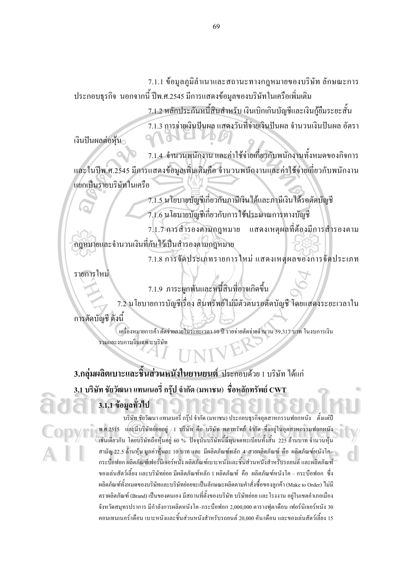7.1.1 ข้อมูลภูมิลำเนาและสถานะทางกฎหมายของบริษัท ลักษณะการ ประกอบธุรกิจ นอกจากนี้ ปีพ.ศ.2545 มีการแสดงข้อมูลของบริษัทในเครือเพิ่มเติม

> 7.1.2 หลักประกันหนี้สินสำหรับ เงินเบิกเกินบัญชีและเงินกู้ยืมระยะสั้น 7.1.3 การจ่ายเงินปันผล แสดงวันที่จ่ายเงินปันผล จำนวนเงินปันผล อัตรา

เงินปันผลต่อหุ้น

7.1.4 จำนวนพนักงาน และค่าใช้จ่ายเกี่ยวกับพนักงานทั้งหมดของกิจการ ้ และในปีพ.ศ.2545 มีการแสดงข้อมูลเพิ่มเติมคือ จำนวนพนักงานและค่าใช้จ่ายเกี่ยวกับพนักงาน แยกเป็นรายบริษัทในเครือ

> 7.1.5 นโยบายบัญชีเกี่ยวกับภาษีเงินใด้และภาษีเงินใด้รอตัดบัญชี 7.1.6 นโยบายบัญชีเกี่ยวกับการใช้ประมาณการทางบัญชี

7.1.7 การสำรองตามกฎหมาย แสคงเหตุผลที่ต้องมีการสำรองตาม ึกฎหมายและจำนวนเงินที่กันไว้เป็นสำรองตามกฎหมาย

7.1.8 การจัดประเภทรายการใหม่ แสดงเหตุผลของการจัดประเภท

รายการใหม่

7.1.9 ภาระผูกพันและหนี้สินที่อาจเกิดขึ้น

7.2 นโยบายการบัญชีเรื่อง สินทรัพย์ไม่มีตัวตนรอตัดบัญชี โดยแสดงระยะเวลาใน

การตัดบัญชี ดังนี้

เครื่องหมายการค้ำ ตัดจ่ายภายในระยะเวลา 10 ปี รายจ่ายตัดจ่ายจำนวน 39.317 บาท ในงบการเงิน รวมและงบการเงินเฉพาะบริษัท

3.กลุ่มผลิตเบาะและชิ้นส่วนหนังในยานยนต์ ประกอบด้วย 1 บริษัท ได้แก่  $\,$ 3.1 บริษัท ชัยวัฒนา แทนเนอรี่ กรุ๊ป จำกัด (มหาชน) ชื่อหลักทรัพย์  $\rm{\bf\,}_{CFT}$ 

## 3.1.1 ข้อมูลทั่วไป

้บริษัท ชัยวัฒนา แทนเนอรี่ กรุ๊ป จำกัด (มหาชน) ประกอบธุรกิจอุตสาหกรรมฟอกหนัง ตั้งแต่ปี พ.ศ.2515 และมีบริษัทย่อยอยู่ 1 บริษัท คือ บริษัท พลาทรัพย์ จำกัด ซึ่งอยู่ในอุตสาหกรรมฟอกหนัง ้ เช่นเดียวกัน โดยบริษัทถือหุ้นอยู่ 60 % ปัจจุบันบริษัทนี้มีทุนจดทะเบียนทั้งสิ้น 225 ล้านบาท จำนวนหุ้น สามัญ 22.5 ล้านหุ้น มูลค่าหุ้นละ 10 บาท และ มีผลิตภัณฑ์หลัก 4 สายผลิตภัณฑ์ คือ ผลิตภัณฑ์หนังโค– กระบื๊อฟอก ผลิตภัณฑ์เฟอร์บิเจอร์หนัง ผลิตภัณฑ์เบาะหนังและชิ้นส่วนหนังสำหรับรถยนต์ และผลิตภัณฑ์ ของเล่นสัตว์เลี้ยง และบริษัทย่อย มีผลิตภัณฑ์หลัก 1 ผลิตภัณฑ์ คือ ผลิตภัณฑ์หนังโค – กระบือฟอก ซึ่ง ี ผลิตภัณฑ์ทั้งหมดของบริษัทและบริษัทย่อยจะเป็นลักษณะผลิตตามคำสั่งซื้อของลกค้า (Make to Order) ไม่มี ี ตราผลิตภัณฑ์ (Brand) เป็นของตนเอง มีสถานที่ตั้งของบริษัท บริษัทย่อย และ โรงงาน อย่ในเขตอำเภอเมือง จังหวัดสมทรปราการ มีกำลังการผลิตหนังโค–กระบือฟอก 2,000,000 ตารางฟต/เดือน เฟอร์นิเจอร์หนัง 30 ี คอนเทนเนอร์/เดือน เบาะหนังและชิ้นส่วนหนังสำหรับรถยนต์ 20.000 คัน/เดือน และของเล่นสัตว์เลี้ยง 15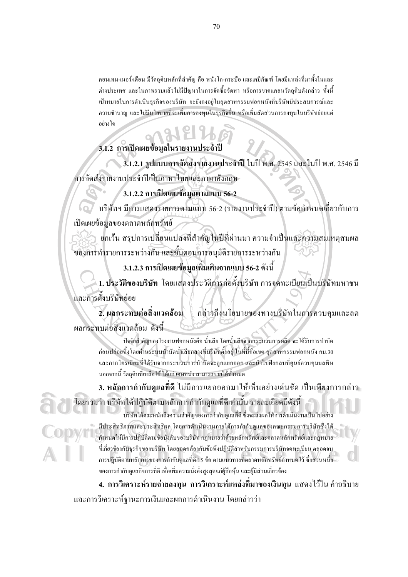คอนเทน-เนอร์/เคือน มีวัตถดิบหลักที่สำคัญ คือ หนังโค-กระบือ และเคมีภัณฑ์ โดยมีแหล่งที่มาทั้งในและ ้ต่างประเทศ และในภาพรวมแล้วไม่มีปัญหาในการจัดซื้อจัดหา หรือการขาดแกลนวัตถุดิบดังกล่าว ทั้งนี้ เป้าหมายในการคำเนินธุรกิจของบริษัท จะยังคงอยู่ในอุตสาหกรรมฟอกหนังที่บริษัทมีประสบการณ์และ ความชำนาญ และไม่มีนโยบายที่จะเพิ่มการลงทุนในธุรกิจอื่น หรือเพิ่มสัดส่วนการลงทุนในบริษัทย่อยแต่ อย่างใด

## 3.1.2 การเปิดเผยข้อมูลในรายงานประจำปี

3.1.2.1 รูปแบบการจัดส่งรายงานประจำปี ในปี พ.ศ. 2545 และในปี พ.ศ. 2546 มี การจัดส่งรายงานประจำปีเป็นภาษาไทยและภาษาอังกฤษ

3.1.2.2 การเปิดเผยข้อมูลตามแบบ 56-2

บริษัทฯ มีการแสดงรายการตามแบบ 56-2 (รายงานประจำปี) ตามข้อกำหนดเกี่ยวกับการ ้เปิดเผยข้อมลของตลาดหลักทรัพย์

ยกเว้น สรุปการเปลี่ยนแปลงที่สำคัญในปีที่ผ่านมา ความจำเป็นและความสมเหตุสมผล ของการทำรายการระหว่างกัน และขั้นตอนการอนุมัติรายการระหว่างกัน

3.1.2.3 การเปิดเผยข้อมูลเพิ่มเติมจากแบบ 56-2 ดังนี้

1. ประวัติของบริษัท โดยแสดงประวัติการก่อตั้งบริษัท การจดทะเบียนเป็นบริษัทมหาชน และการตั้งบริษัทย่อย

2. ผลกระทบต่อสิ่งแวดล้อม กล่าวถึงนโขบายของทางบริษัทในการควบคุมและลด ผลกระทบต่อสิ่งแวดล้อม ดังนี้

ปัจจัยสำคัญของโรงงานฟอกหนังคือ น้ำเสีย โดยน้ำเสียจากกระบวนการผลิต จะได้รับการบำบัด ก่อนปล่อยทิ้งโดยผ่านระบบบำบัดน้ำเสียกลางที่บริษัทตั้งอยู่ ในที่นี้คือเขต อุตสาหกรรมฟอกหนัง กม.30 และกากโครเมียมที่ได้รับจากกระบวนการบำบัดจะถูกแยกออก และนำไปฝังกลบที่ศูนย์ควบคุมมลพิษ นอกจากนี้ วัตถุดิบที่เหลือใช้ ได้แก่ เศษหนัง สามารถขายได้ทั้งหมด

่ 3. หลักการกำกับดูแลที่ดี ไม่มีการแยกออกมาให้เห็นอย่างเด่นชัด เป็นเพียงการกล่าว โดยรวมว่า บริษัทใด้ปฏิบัติตามหลักการกำกับดูแลที่ดีเท่านั้น รายละเอียดมีดังนี้

บริษัทได้ตระหนักถึงความสำคัญของการกำกับดูแลที่ดี ซึ่งจะส่งผลให้การดำเนินงานเป็นไปอย่า มีประสิทธิภาพและประสิทธิผล โดยการดำเนินงานภายใต้การกำกับดูแลของคณะกรรมการบริษัทซึ่งได้ ้กำหนดให้มีการปฏิบัติตามข้อบังคับของบริษัท กฎหมายว่าด้วยหลักทรัพย์และตลาดหลักทรัพย์และกฎหมาย ที่เกี่ยวข้องกับธุรกิจของบริษัท โดยสอดคล้องกับข้อพึงปฏิบัติสำหรับกรรมการบริษัทจดทะเบียน ตลอดจน การปฎิบัติตามหลักการของการกำกับดูแลที่ดี 15 ข้อ ตามแนวทางที่ตลาดหลักทรัพย์กำหนดไว้ ซึ่งส่วนหนึ่ง ของการกำกับดูแลกิจการที่ดี เพื่อเพิ่มความมั่งคั่งสูงสุดแก่ผู้ถือหุ้น และผู้มีส่วนเกี่ยวข้อง

4. การวิเคราะห์รายจ่ายลงทน การวิเคราะห์แหล่งที่มาของเงินทน แสดงไว้ใน คำอธิบาย และการวิเคราะห์ฐานะการเงินและผลการดำเนินงาน โดยกล่าวว่า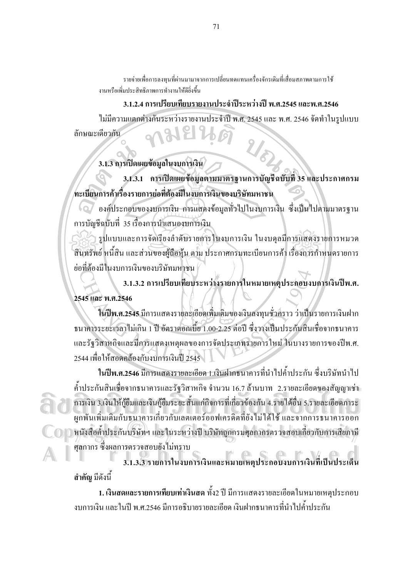รายจ่ายเพื่อการลงทนที่ผ่านมามาจากการเปลี่ยนทดแทนเครื่องจักรเดิมที่เสื่อมสภาพตามการใช้ งานหรือเพิ่มประสิทธิภาพการทำงานให้ดียิ่งขึ้น

3.1.2.4 การเปรียบเทียบรายงานประจำปีระหว่างปี พ.ศ.2545 และพ.ศ.2546 ไม่มีความแตกต่างกันระหว่างรายงานประจำปี พ.ศ. 2545 และ พ.ศ. 2546 จัดทำในรปแบบ ลักษณะเดียวกัน

3.1.3 การเปิดเผยข้อมูลในงบการเงิน

3.1.3.1 การเปิดเผยข้อมูลตามมาตรฐานการบัญชีฉบับที่ 35 และประกาศกรม ทะเบียนการค้าเรื่องรายการย่อที่ต้องมีในงบการเงินของบริษัทมหาชน

(๑) องค์ประกอบของงบการเงิน การแสดงข้อมูลทั่วไปในงบการเงิน ซึ่งเป็นไปตามมาตรฐาน ึการบัญชีฉบับที่ 35 เรื่องการนำเสนองบการเงิน

รูปแบบและการจัดเรียงลำดับรายการในงบการเงิน ในงบดุลมีการแสดงรายการหมวด ้สินทรัพย์ หนี้สิน และส่วนของผู้ถือหุ้น ตาม ประกาศกรมทะเบียนการค้า เรื่องการกำหนดรายการ ย่อที่ต้องมีในงบการเงินของบริษัทมหาชน

3.1.3.2 การเปรียบเทียบระหว่างรายการในหมายเหตุประกอบงบการเงินปีพ.ศ. 2545 และ พ.ศ.2546

ในปีพ.ศ.2545 มีการแสดงรายละเอียดเพิ่มเติมของเงินลงทุนชั่วคราว ว่าเป็นรายการเงินฝาก ธนาคารระยะเวลาไม่เกิน 1 ปี อัตราคอกเบี้ย 1.00-2.25 ต่อปี ซึ่งวางเป็นประกันสินเชื่อจากธนาคาร และรัฐวิสาหกิจและมีการแสดงเหตุผลของการจัดประเภทรายการใหม่ ในบางรายการของปีพ.ศ. 2544 เพื่อให้สอดคล้องกับงบการเงินปี 2545

ในปีพ.ศ.2546 มีการแสดงรายละเอียด 1.เงินฝากธนาคารที่นำไปค้ำประกัน ซึ่งบริษัทนำไป ้ค้ำประกันสินเชื่อจากธนาคารและรัฐวิสาหกิจ จำนวน 16.7 ล้านบาท 2.รายละเอียดของสัญญาเช่า ึการเงิน 3.เงินให้กู้ยืมและเงินกู้ยืมระยะสั้นแก่กิจการที่เกี่ยวข้องกัน 4.รายได้อื่น 5.รายละเอียดภาระ ผูกพันเพิ่มเติมกับธนาคารเกี่ยวกับเลตเตอร์ออฟเครดิตที่ยังไม่ได้ใช้ และจากการธนาคารออก า 1 หนังสือค้ำประกันบริษัทฯ และในระหว่างปี บริษัทถูกกรมศุลกากรตรวจสอบเกี่ยวกับการเสียภาษี ี ศลกากร ซึ่งผลการตรวจสอบยังไม่ทราบ

สำคัญ มีดังนี้

1. เงินสดและรายการเทียบเท่าเงินสด ทั้ง2 ปี มีการแสดงรายละเอียดในหมายเหตุประกอบ งบการเงิน และในปี พ.ศ.2546 มีการอธิบายรายละเอียด เงินฝากธนาคารที่นำไปค้ำประกับ

71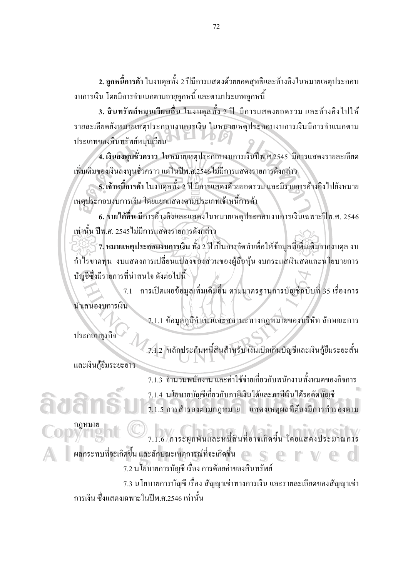2. ลูกหนี้การค้า ในงบคุลทั้ง 2 ปีมีการแสดงด้วยยอดสุทธิและอ้างอิงในหมายเหตุประกอบ ึงบการเงิน โดยมีการจำแนกตามอายุลูกหนี้ และตามประเภทลูกหนี้

3. สินทรัพย์หมุนเวียนอื่น ในงบคุลทั้ง 2 ปี มีการแสคงยอครวม และอ้างอิงไปให้ รายละเอียดยังหมายเหตุประกอบงบการเงิน ในหมายเหตุประกอบงบการเงินมีการจำแนกตาม ประเภทของสินทรัพย์หมนเวียน

4. เงินลงทุนชั่วคราว ในหมายเหตุประกอบงบการเงินปีพ.ศ.2545 มีการแสดงรายละเอียด เพิ่มเติมของเงินลงทนชั่วคราว แต่ในปีพ.ศ.2546 ไม่มีการแสดงรายการดังกล่าว

5. เจ้าหนี้การค้า ในงบดุลทั้ง 2 ปี มีการแสดงด้วยยอดรวม และมีรายการอ้างอิง ไปยังหมาย ้เหตุประกอบงบการเงิน โดยแยกแสดงตามประเภทเจ้าหนี้การค้า

6. รายได้อื่น มีการอ้างอิงและแสดงในหมายเหตุประกอบงบการเงินเฉพาะปีพ.ศ. 2546 เท่านั้น ปีพ.ศ. 2545 ไม่มีการแสดงรายการดังกล่าว

้ 7. หมายเหตุประกอบงบการเงิน ทั้ง 2 ปี เป็นการจัดทำเพื่อให้ข้อมูลที่เพิ่มเติมจากงบคุล งบ กำไรขาดทุน งบแสดงการเปลี่ยนแปลงของส่วนของผู้ถือหุ้น งบกระแสเงินสดและนโยบายการ บัญชีซึ่งมีรายการที่น่าสนใจ ดังต่อไปนี้

7.1 การเปิดเผยข้อมูลเพิ่มเติมอื่น ตามมาตรฐานการบัญชีฉบับที่ 35 เรื่องการ นำเสนองบการเงิน

7.1.1 ข้อมูลภูมิลำเนาและสถานะทางกฎหมายของบริษัท ลักษณะการ ประกอบธรกิจ

7.1.2 หลักประกันหนี้สินสำหรับ เงินเบิกเกินบัญชีและเงินกู้ยืมระยะสั้น และเงินกู้ขึ้มระยะยาว

7.1.3 จำนวนพนักงาน และค่าใช้จ่ายเกี่ยวกับพนักงานทั้งหมดของกิจการ 7.1.4 นโยบายบัญชีเกี่ยวกับภาษีเงินใด้และภาษีเงินใด้รอตัดบัญชี 7.1.5 การสำรองตามกฎหมาย แสดงเหตุผลที่ต้องมีการสำรองตาม

.<br>7.1.6 ภาระผูกพันและหนี้สินที่อาจเกิดขึ้น โดยแสดงประมาณการ ผลกระทบที่จะเกิดขึ้น และลักษณะเหตุการณ์ที่จะเกิดขึ้น ่ 7.2 นโยบายการบัญชี เรื่อง การค้อยค่าของสินทรัพย์ 7.3 นโยบายการบัญชี เรื่อง สัญญาเช่าทางการเงิน และรายละเอียดของสัญญาเช่า ิการเงิน ซึ่งแสดงเฉพาะในปีพ.ศ.2546 เท่านั้น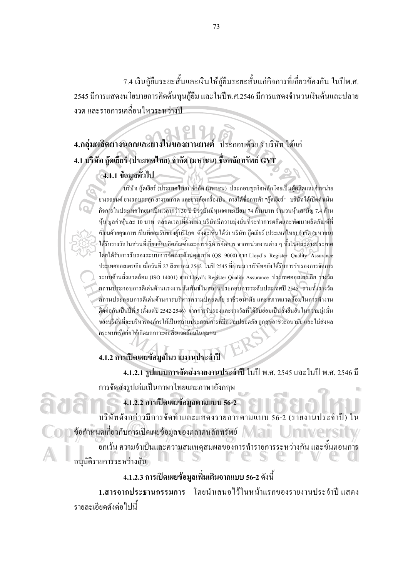7.4 เงินกู้ยืมระยะสั้นและเงินให้กู้ยืมระยะสั้นแก่กิจการที่เกี่ยวข้องกัน ในปีพ.ศ. 2545 มีการแสดงนโยบายการคิดต้นทุนกู้ยืม และในปีพ.ศ.2546 มีการแสดงจำนวนเงินต้นและปลาย งวด และรายการเคลื่อนไหวระหว่างปี

# 4.กลุ่มผลิตยางนอกและยางในของยานยนต์ ประกอบด้วย 3 บริษัท ได้แก่ 4.1 บริษัท ก๊ดเยียร์ (ประเทศไทย) จำกัด (มหาชน) ชื่อหลักทรัพย์ GYT

## 4.1.1 ข้อมูลทั่วไป

บริษัท ก๊คเยียร์ (ประเทศไทย) จำกัด (มหาชน) ประกอบธรกิจหลักโคยเป็นผ้ผลิตและจำหน่าย ยางรถยนต์ ยางรถบรรทุก ยางรถเกรด และยางล้อเครื่องบิน ภายใต้ชื่อการค้า "ถู๊ดเยียร์" บริษัท ได้เปิดคำเนิน ้กิจการในประเทศไทยมาเป็นเวลากว่า 30 ปี ปัจจุบันมีทุนจดทะเบียน 74 ล้านบาท จำนวนหุ้นสามัญ 7.4 ล้าน ห้น มลค่าห้นละ 10 บาท ตลอดเวลาที่ผ่านมา บริษัทมีความม่งมั่นที่จะทำการผลิตและพัฒนาผลิตภัณฑ์ที่ เปี่ยมด้วยคุณภาพ เป็นที่ยอมรับของผู้บริโภค ดังจะเห็นได้ว่า บริษัท กู๊ดเยียร์ (ประเทศไทย) จำกัด (มหาชน) ใด้รับรางวัลในส่วนที่เกี่ยวกับผลิตภัณฑ์และการบริหารจัดการ จากหน่วยงานต่าง ๆ ทั้งในและต่างประเทศ โดยได้รับการรับรองระบบการจัดการด้านคุณภาพ (OS 9000) จาก Lloyd's Register Quality Assurance ประเทศออสเตรเลีย เมื่อวันที่ 27 สิงหาคม 2542 ในปี 2545 ที่ผ่านมา บริษัทฯยังได้รับการรับรองการจัดการ ระบบด้านสิ่งแวดล้อม (ISO 14001) จาก Lloyd's Register Quality Assurance ประเทศออสเตรเลีย รางวัล ิสถานประกอบการดีเด่นด้านแรงงานสัมพันธ์ในสถานประกอบการระดับประเทศปี 2545 รวมทั้งรางวัล สถานประกอบการดีเด่นด้านการบริหารความปลอดภัย อาชีวอนามัย และสภาพแวดล้อมในการทำงาน ติดต่อกันเป็นปีที่ 5 (ตั้งแต่ปี 2542-2546) จากการรับรองและรางวัลที่ได้รับย่อมเป็นสิ่งยืนยันในความมุ่งมั่น ของบริษัทที่จะบริหารองค์กรให้เป็นสถานประกอบการที่มีความปลอดภัย ถูกสุขอาชีวะอนามัย และไม่ส่งผล กระทบหรือก่อให้เกิดมลภาวะต่อสิ่งแวดล้อมในชมชน

4.1.2 การเปิดเผยข้อมลในรายงานประจำปี

4.1.2.1 รูปแบบการจัดส่งรายงานประจำปี ในปี พ.ศ. 2545 และในปี พ.ศ. 2546 มี ึการจัดส่งรูปเล่มเป็นภาษาไทยและภาษาอังกฤษ

4.1.2.2 การเปิดเผยข้อมูลตามแบบ 56-2

บริษัทดังกล่าวมีการจัดทำและแสดงรายการตามแบบ 56-2 (รายงานประ ี ข้อกำหนดเกี่ยวกับการเปิดเผยข้อมูลของตลาดหลักทรัพย์

ียกเว้น ความจำเป็นและความสมเหตุสมผลของการทำรายการระหว่างกัน และขั้นตอนการ อนมัติรายการระหว่างกัน

## 4.1.2.3 การเปิดเผยข้อมูลเพิ่มเติมจากแบบ 56-2 ดังนี้

1.สารจากประธานกรรมการ โดยบำเสบอไว้ใบหน้าแรกของรายงาบประจำปีแสดง รายละเอียดดังต่อไปนี้